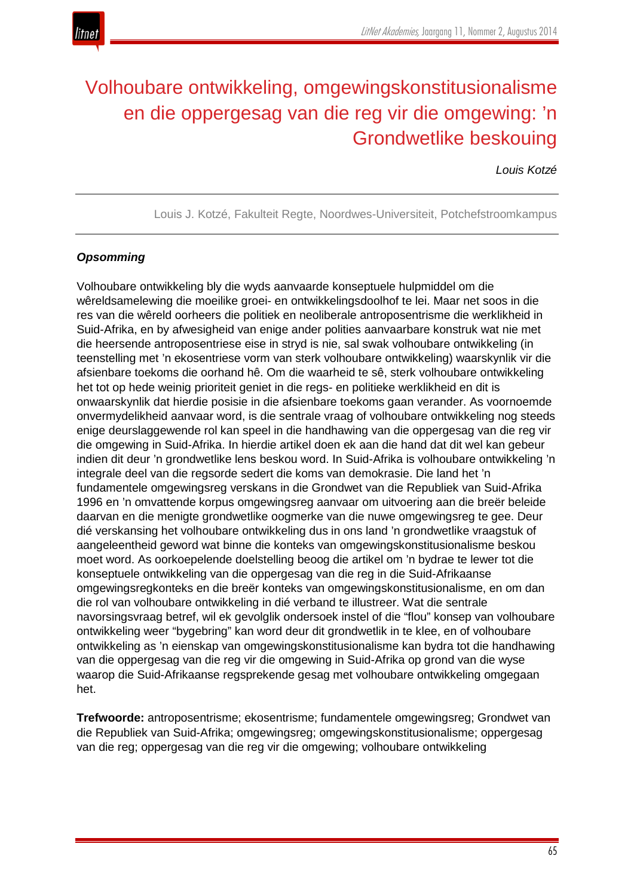

# Volhoubare ontwikkeling, omgewingskonstitusionalisme en die oppergesag van die reg vir die omgewing: 'n Grondwetlike beskouing

# *Louis Kotzé*

Louis J. Kotzé, Fakulteit Regte, Noordwes-Universiteit, Potchefstroomkampus

# *Opsomming*

Volhoubare ontwikkeling bly die wyds aanvaarde konseptuele hulpmiddel om die wêreldsamelewing die moeilike groei- en ontwikkelingsdoolhof te lei. Maar net soos in die res van die wêreld oorheers die politiek en neoliberale antroposentrisme die werklikheid in Suid-Afrika, en by afwesigheid van enige ander polities aanvaarbare konstruk wat nie met die heersende antroposentriese eise in stryd is nie, sal swak volhoubare ontwikkeling (in teenstelling met 'n ekosentriese vorm van sterk volhoubare ontwikkeling) waarskynlik vir die afsienbare toekoms die oorhand hê. Om die waarheid te sê, sterk volhoubare ontwikkeling het tot op hede weinig prioriteit geniet in die regs- en politieke werklikheid en dit is onwaarskynlik dat hierdie posisie in die afsienbare toekoms gaan verander. As voornoemde onvermydelikheid aanvaar word, is die sentrale vraag of volhoubare ontwikkeling nog steeds enige deurslaggewende rol kan speel in die handhawing van die oppergesag van die reg vir die omgewing in Suid-Afrika. In hierdie artikel doen ek aan die hand dat dit wel kan gebeur indien dit deur 'n grondwetlike lens beskou word. In Suid-Afrika is volhoubare ontwikkeling 'n integrale deel van die regsorde sedert die koms van demokrasie. Die land het 'n fundamentele omgewingsreg verskans in die Grondwet van die Republiek van Suid-Afrika 1996 en 'n omvattende korpus omgewingsreg aanvaar om uitvoering aan die breër beleide daarvan en die menigte grondwetlike oogmerke van die nuwe omgewingsreg te gee. Deur dié verskansing het volhoubare ontwikkeling dus in ons land 'n grondwetlike vraagstuk of aangeleentheid geword wat binne die konteks van omgewingskonstitusionalisme beskou moet word. As oorkoepelende doelstelling beoog die artikel om 'n bydrae te lewer tot die konseptuele ontwikkeling van die oppergesag van die reg in die Suid-Afrikaanse omgewingsregkonteks en die breër konteks van omgewingskonstitusionalisme, en om dan die rol van volhoubare ontwikkeling in dié verband te illustreer. Wat die sentrale navorsingsvraag betref, wil ek gevolglik ondersoek instel of die "flou" konsep van volhoubare ontwikkeling weer "bygebring" kan word deur dit grondwetlik in te klee, en of volhoubare ontwikkeling as 'n eienskap van omgewingskonstitusionalisme kan bydra tot die handhawing van die oppergesag van die reg vir die omgewing in Suid-Afrika op grond van die wyse waarop die Suid-Afrikaanse regsprekende gesag met volhoubare ontwikkeling omgegaan het.

**Trefwoorde:** antroposentrisme; ekosentrisme; fundamentele omgewingsreg; Grondwet van die Republiek van Suid-Afrika; omgewingsreg; omgewingskonstitusionalisme; oppergesag van die reg; oppergesag van die reg vir die omgewing; volhoubare ontwikkeling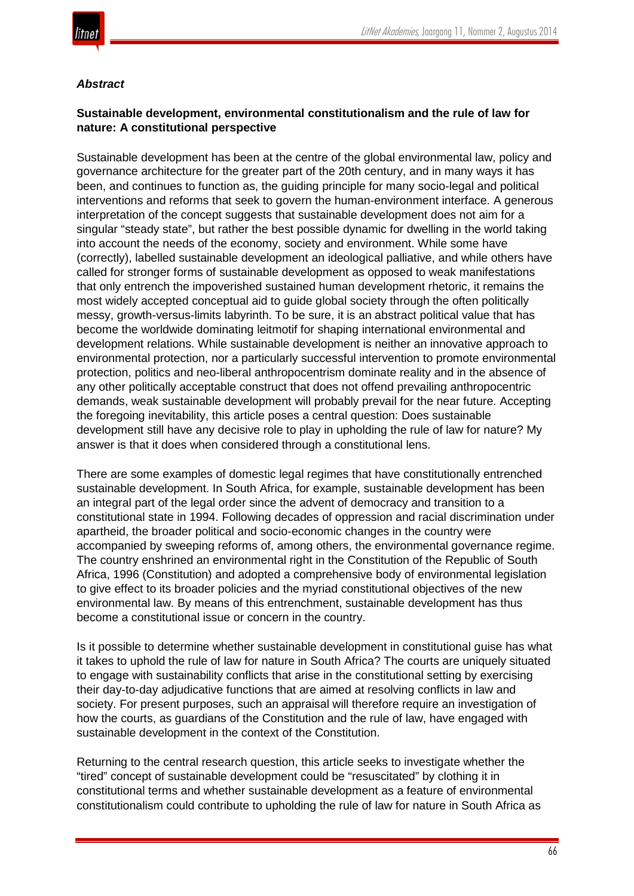

# *Abstract*

# **Sustainable development, environmental constitutionalism and the rule of law for nature: A constitutional perspective**

Sustainable development has been at the centre of the global environmental law, policy and governance architecture for the greater part of the 20th century, and in many ways it has been, and continues to function as, the guiding principle for many socio-legal and political interventions and reforms that seek to govern the human-environment interface. A generous interpretation of the concept suggests that sustainable development does not aim for a singular "steady state", but rather the best possible dynamic for dwelling in the world taking into account the needs of the economy, society and environment. While some have (correctly), labelled sustainable development an ideological palliative, and while others have called for stronger forms of sustainable development as opposed to weak manifestations that only entrench the impoverished sustained human development rhetoric, it remains the most widely accepted conceptual aid to guide global society through the often politically messy, growth-versus-limits labyrinth. To be sure, it is an abstract political value that has become the worldwide dominating leitmotif for shaping international environmental and development relations. While sustainable development is neither an innovative approach to environmental protection, nor a particularly successful intervention to promote environmental protection, politics and neo-liberal anthropocentrism dominate reality and in the absence of any other politically acceptable construct that does not offend prevailing anthropocentric demands, weak sustainable development will probably prevail for the near future. Accepting the foregoing inevitability, this article poses a central question: Does sustainable development still have any decisive role to play in upholding the rule of law for nature? My answer is that it does when considered through a constitutional lens.

There are some examples of domestic legal regimes that have constitutionally entrenched sustainable development. In South Africa, for example, sustainable development has been an integral part of the legal order since the advent of democracy and transition to a constitutional state in 1994. Following decades of oppression and racial discrimination under apartheid, the broader political and socio-economic changes in the country were accompanied by sweeping reforms of, among others, the environmental governance regime. The country enshrined an environmental right in the Constitution of the Republic of South Africa, 1996 (Constitution) and adopted a comprehensive body of environmental legislation to give effect to its broader policies and the myriad constitutional objectives of the new environmental law. By means of this entrenchment, sustainable development has thus become a constitutional issue or concern in the country.

Is it possible to determine whether sustainable development in constitutional guise has what it takes to uphold the rule of law for nature in South Africa? The courts are uniquely situated to engage with sustainability conflicts that arise in the constitutional setting by exercising their day-to-day adjudicative functions that are aimed at resolving conflicts in law and society. For present purposes, such an appraisal will therefore require an investigation of how the courts, as guardians of the Constitution and the rule of law, have engaged with sustainable development in the context of the Constitution.

Returning to the central research question, this article seeks to investigate whether the "tired" concept of sustainable development could be "resuscitated" by clothing it in constitutional terms and whether sustainable development as a feature of environmental constitutionalism could contribute to upholding the rule of law for nature in South Africa as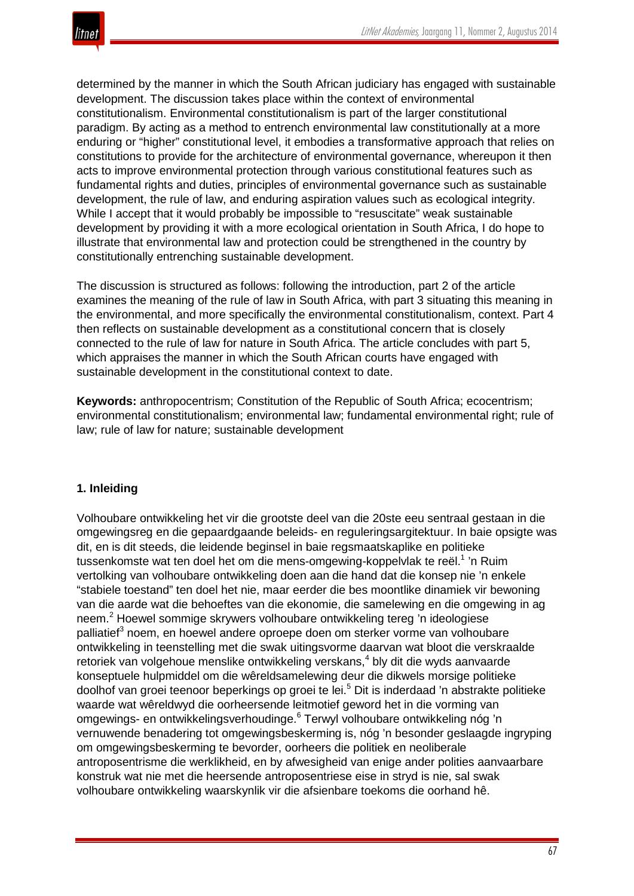

determined by the manner in which the South African judiciary has engaged with sustainable development. The discussion takes place within the context of environmental constitutionalism. Environmental constitutionalism is part of the larger constitutional paradigm. By acting as a method to entrench environmental law constitutionally at a more enduring or "higher" constitutional level, it embodies a transformative approach that relies on constitutions to provide for the architecture of environmental governance, whereupon it then acts to improve environmental protection through various constitutional features such as fundamental rights and duties, principles of environmental governance such as sustainable development, the rule of law, and enduring aspiration values such as ecological integrity. While I accept that it would probably be impossible to "resuscitate" weak sustainable development by providing it with a more ecological orientation in South Africa, I do hope to illustrate that environmental law and protection could be strengthened in the country by constitutionally entrenching sustainable development.

The discussion is structured as follows: following the introduction, part 2 of the article examines the meaning of the rule of law in South Africa, with part 3 situating this meaning in the environmental, and more specifically the environmental constitutionalism, context. Part 4 then reflects on sustainable development as a constitutional concern that is closely connected to the rule of law for nature in South Africa. The article concludes with part 5, which appraises the manner in which the South African courts have engaged with sustainable development in the constitutional context to date.

**Keywords:** anthropocentrism; Constitution of the Republic of South Africa; ecocentrism; environmental constitutionalism; environmental law; fundamental environmental right; rule of law; rule of law for nature; sustainable development

#### **1. Inleiding**

Volhoubare ontwikkeling het vir die grootste deel van die 20ste eeu sentraal gestaan in die omgewingsreg en die gepaardgaande beleids- en reguleringsargitektuur. In baie opsigte was dit, en is dit steeds, die leidende beginsel in baie regsmaatskaplike en politieke tussenkomste wat ten doel het om die mens-omgewing-koppelvlak te reël.<sup>1</sup> 'n Ruim vertolking van volhoubare ontwikkeling doen aan die hand dat die konsep nie 'n enkele "stabiele toestand" ten doel het nie, maar eerder die bes moontlike dinamiek vir bewoning van die aarde wat die behoeftes van die ekonomie, die samelewing en die omgewing in ag neem.<sup>2</sup> Hoewel sommige skrywers volhoubare ontwikkeling tereg 'n ideologiese palliatief<sup>3</sup> noem, en hoewel andere oproepe doen om sterker vorme van volhoubare ontwikkeling in teenstelling met die swak uitingsvorme daarvan wat bloot die verskraalde retoriek van volgehoue menslike ontwikkeling verskans,<sup>4</sup> bly dit die wyds aanvaarde konseptuele hulpmiddel om die wêreldsamelewing deur die dikwels morsige politieke doolhof van groei teenoor beperkings op groei te lei.<sup>5</sup> Dit is inderdaad 'n abstrakte politieke waarde wat wêreldwyd die oorheersende leitmotief geword het in die vorming van omgewings- en ontwikkelingsverhoudinge.<sup>6</sup> Terwyl volhoubare ontwikkeling nóg 'n vernuwende benadering tot omgewingsbeskerming is, nóg 'n besonder geslaagde ingryping om omgewingsbeskerming te bevorder, oorheers die politiek en neoliberale antroposentrisme die werklikheid, en by afwesigheid van enige ander polities aanvaarbare konstruk wat nie met die heersende antroposentriese eise in stryd is nie, sal swak volhoubare ontwikkeling waarskynlik vir die afsienbare toekoms die oorhand hê.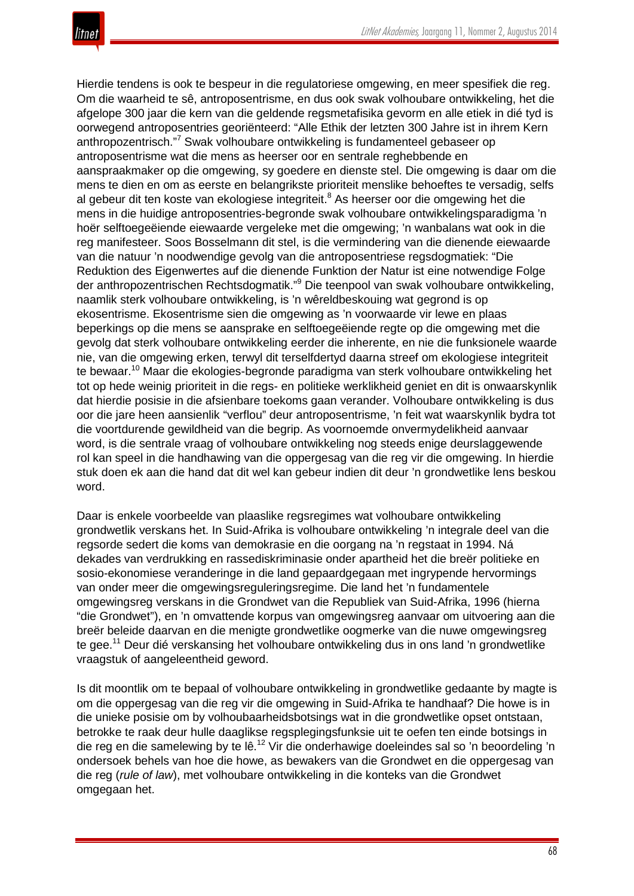

Hierdie tendens is ook te bespeur in die regulatoriese omgewing, en meer spesifiek die reg. Om die waarheid te sê, antroposentrisme, en dus ook swak volhoubare ontwikkeling, het die afgelope 300 jaar die kern van die geldende regsmetafisika gevorm en alle etiek in dié tyd is oorwegend antroposentries georiënteerd: "Alle Ethik der letzten 300 Jahre ist in ihrem Kern anthropozentrisch."<sup>7</sup> Swak volhoubare ontwikkeling is fundamenteel gebaseer op antroposentrisme wat die mens as heerser oor en sentrale reghebbende en aanspraakmaker op die omgewing, sy goedere en dienste stel. Die omgewing is daar om die mens te dien en om as eerste en belangrikste prioriteit menslike behoeftes te versadig, selfs al gebeur dit ten koste van ekologiese integriteit.<sup>8</sup> As heerser oor die omgewing het die mens in die huidige antroposentries-begronde swak volhoubare ontwikkelingsparadigma 'n hoër selftoegeëiende eiewaarde vergeleke met die omgewing; 'n wanbalans wat ook in die reg manifesteer. Soos Bosselmann dit stel, is die vermindering van die dienende eiewaarde van die natuur 'n noodwendige gevolg van die antroposentriese regsdogmatiek: "Die Reduktion des Eigenwertes auf die dienende Funktion der Natur ist eine notwendige Folge der anthropozentrischen Rechtsdogmatik."<sup>9</sup> Die teenpool van swak volhoubare ontwikkeling, naamlik sterk volhoubare ontwikkeling, is 'n wêreldbeskouing wat gegrond is op ekosentrisme. Ekosentrisme sien die omgewing as 'n voorwaarde vir lewe en plaas beperkings op die mens se aansprake en selftoegeëiende regte op die omgewing met die gevolg dat sterk volhoubare ontwikkeling eerder die inherente, en nie die funksionele waarde nie, van die omgewing erken, terwyl dit terselfdertyd daarna streef om ekologiese integriteit te bewaar.<sup>10</sup> Maar die ekologies-begronde paradigma van sterk volhoubare ontwikkeling het tot op hede weinig prioriteit in die regs- en politieke werklikheid geniet en dit is onwaarskynlik dat hierdie posisie in die afsienbare toekoms gaan verander. Volhoubare ontwikkeling is dus oor die jare heen aansienlik "verflou" deur antroposentrisme, 'n feit wat waarskynlik bydra tot die voortdurende gewildheid van die begrip. As voornoemde onvermydelikheid aanvaar word, is die sentrale vraag of volhoubare ontwikkeling nog steeds enige deurslaggewende rol kan speel in die handhawing van die oppergesag van die reg vir die omgewing. In hierdie stuk doen ek aan die hand dat dit wel kan gebeur indien dit deur 'n grondwetlike lens beskou word.

Daar is enkele voorbeelde van plaaslike regsregimes wat volhoubare ontwikkeling grondwetlik verskans het. In Suid-Afrika is volhoubare ontwikkeling 'n integrale deel van die regsorde sedert die koms van demokrasie en die oorgang na 'n regstaat in 1994. Ná dekades van verdrukking en rassediskriminasie onder apartheid het die breër politieke en sosio-ekonomiese veranderinge in die land gepaardgegaan met ingrypende hervormings van onder meer die omgewingsreguleringsregime. Die land het 'n fundamentele omgewingsreg verskans in die Grondwet van die Republiek van Suid-Afrika, 1996 (hierna "die Grondwet"), en 'n omvattende korpus van omgewingsreg aanvaar om uitvoering aan die breër beleide daarvan en die menigte grondwetlike oogmerke van die nuwe omgewingsreg te gee.<sup>11</sup> Deur dié verskansing het volhoubare ontwikkeling dus in ons land 'n grondwetlike vraagstuk of aangeleentheid geword.

Is dit moontlik om te bepaal of volhoubare ontwikkeling in grondwetlike gedaante by magte is om die oppergesag van die reg vir die omgewing in Suid-Afrika te handhaaf? Die howe is in die unieke posisie om by volhoubaarheidsbotsings wat in die grondwetlike opset ontstaan, betrokke te raak deur hulle daaglikse regsplegingsfunksie uit te oefen ten einde botsings in die reg en die samelewing by te lê.<sup>12</sup> Vir die onderhawige doeleindes sal so 'n beoordeling 'n ondersoek behels van hoe die howe, as bewakers van die Grondwet en die oppergesag van die reg (*rule of law*), met volhoubare ontwikkeling in die konteks van die Grondwet omgegaan het.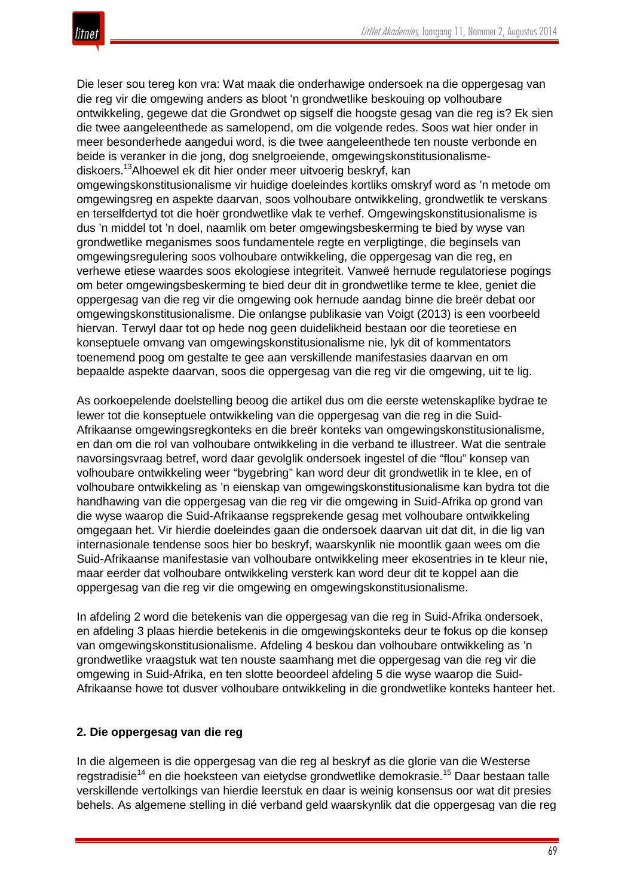

Die leser sou tereg kon vra: Wat maak die onderhawige ondersoek na die oppergesag van die reg vir die omgewing anders as bloot 'n grondwetlike beskouing op volhoubare ontwikkeling, gegewe dat die Grondwet op sigself die hoogste gesag van die reg is? Ek sien die twee aangeleenthede as samelopend, om die volgende redes. Soos wat hier onder in meer besonderhede aangedui word, is die twee aangeleenthede ten nouste verbonde en beide is veranker in die jong, dog snelgroeiende, omgewingskonstitusionalismediskoers.13Alhoewel ek dit hier onder meer uitvoerig beskryf, kan omgewingskonstitusionalisme vir huidige doeleindes kortliks omskryf word as 'n metode om omgewingsreg en aspekte daarvan, soos volhoubare ontwikkeling, grondwetlik te verskans en terselfdertyd tot die hoër grondwetlike vlak te verhef. Omgewingskonstitusionalisme is dus 'n middel tot 'n doel, naamlik om beter omgewingsbeskerming te bied by wyse van grondwetlike meganismes soos fundamentele regte en verpligtinge, die beginsels van omgewingsregulering soos volhoubare ontwikkeling, die oppergesag van die reg, en

verhewe etiese waardes soos ekologiese integriteit. Vanweë hernude regulatoriese pogings om beter omgewingsbeskerming te bied deur dit in grondwetlike terme te klee, geniet die oppergesag van die reg vir die omgewing ook hernude aandag binne die breër debat oor omgewingskonstitusionalisme. Die onlangse publikasie van Voigt (2013) is een voorbeeld hiervan. Terwyl daar tot op hede nog geen duidelikheid bestaan oor die teoretiese en konseptuele omvang van omgewingskonstitusionalisme nie, lyk dit of kommentators toenemend poog om gestalte te gee aan verskillende manifestasies daarvan en om bepaalde aspekte daarvan, soos die oppergesag van die reg vir die omgewing, uit te lig.

As oorkoepelende doelstelling beoog die artikel dus om die eerste wetenskaplike bydrae te lewer tot die konseptuele ontwikkeling van die oppergesag van die reg in die Suid-Afrikaanse omgewingsregkonteks en die breër konteks van omgewingskonstitusionalisme, en dan om die rol van volhoubare ontwikkeling in die verband te illustreer. Wat die sentrale navorsingsvraag betref, word daar gevolglik ondersoek ingestel of die "flou" konsep van volhoubare ontwikkeling weer "bygebring" kan word deur dit grondwetlik in te klee, en of volhoubare ontwikkeling as 'n eienskap van omgewingskonstitusionalisme kan bydra tot die handhawing van die oppergesag van die reg vir die omgewing in Suid-Afrika op grond van die wyse waarop die Suid-Afrikaanse regsprekende gesag met volhoubare ontwikkeling omgegaan het. Vir hierdie doeleindes gaan die ondersoek daarvan uit dat dit, in die lig van internasionale tendense soos hier bo beskryf, waarskynlik nie moontlik gaan wees om die Suid-Afrikaanse manifestasie van volhoubare ontwikkeling meer ekosentries in te kleur nie, maar eerder dat volhoubare ontwikkeling versterk kan word deur dit te koppel aan die oppergesag van die reg vir die omgewing en omgewingskonstitusionalisme.

In afdeling 2 word die betekenis van die oppergesag van die reg in Suid-Afrika ondersoek, en afdeling 3 plaas hierdie betekenis in die omgewingskonteks deur te fokus op die konsep van omgewingskonstitusionalisme. Afdeling 4 beskou dan volhoubare ontwikkeling as 'n grondwetlike vraagstuk wat ten nouste saamhang met die oppergesag van die reg vir die omgewing in Suid-Afrika, en ten slotte beoordeel afdeling 5 die wyse waarop die Suid-Afrikaanse howe tot dusver volhoubare ontwikkeling in die grondwetlike konteks hanteer het.

#### **2. Die oppergesag van die reg**

In die algemeen is die oppergesag van die reg al beskryf as die glorie van die Westerse regstradisie<sup>14</sup> en die hoeksteen van eietydse grondwetlike demokrasie.<sup>15</sup> Daar bestaan talle verskillende vertolkings van hierdie leerstuk en daar is weinig konsensus oor wat dit presies behels. As algemene stelling in dié verband geld waarskynlik dat die oppergesag van die reg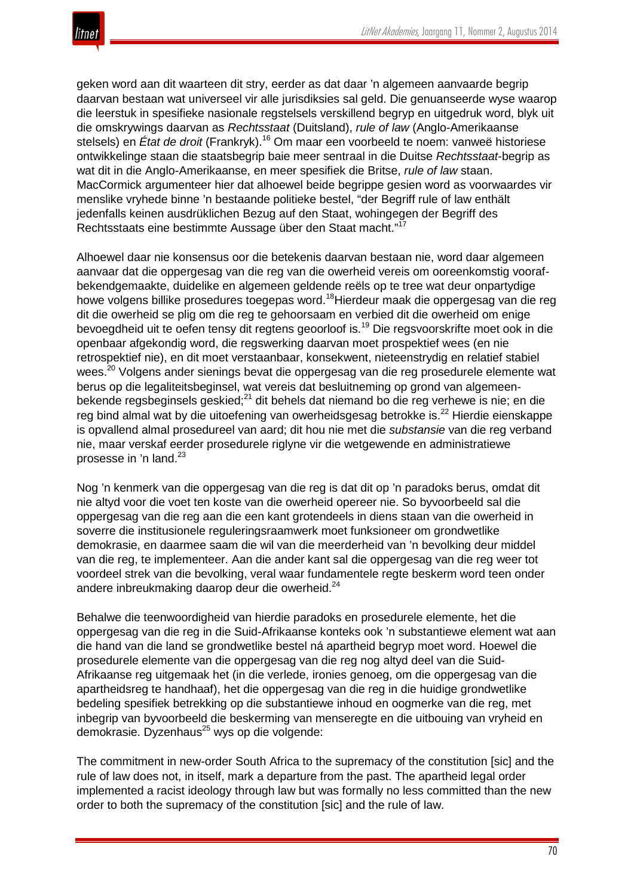

geken word aan dit waarteen dit stry, eerder as dat daar 'n algemeen aanvaarde begrip daarvan bestaan wat universeel vir alle jurisdiksies sal geld. Die genuanseerde wyse waarop die leerstuk in spesifieke nasionale regstelsels verskillend begryp en uitgedruk word, blyk uit die omskrywings daarvan as *Rechtsstaat* (Duitsland), *rule of law* (Anglo-Amerikaanse stelsels) en *État de droit* (Frankryk).<sup>16</sup> Om maar een voorbeeld te noem: vanweë historiese ontwikkelinge staan die staatsbegrip baie meer sentraal in die Duitse *Rechtsstaat*-begrip as wat dit in die Anglo-Amerikaanse, en meer spesifiek die Britse, *rule of law* staan. MacCormick argumenteer hier dat alhoewel beide begrippe gesien word as voorwaardes vir menslike vryhede binne 'n bestaande politieke bestel, "der Begriff rule of law enthält jedenfalls keinen ausdrüklichen Bezug auf den Staat, wohingegen der Begriff des Rechtsstaats eine bestimmte Aussage über den Staat macht."<sup>17</sup>

Alhoewel daar nie konsensus oor die betekenis daarvan bestaan nie, word daar algemeen aanvaar dat die oppergesag van die reg van die owerheid vereis om ooreenkomstig voorafbekendgemaakte, duidelike en algemeen geldende reëls op te tree wat deur onpartydige howe volgens billike prosedures toegepas word.<sup>18</sup>Hierdeur maak die oppergesag van die reg dit die owerheid se plig om die reg te gehoorsaam en verbied dit die owerheid om enige bevoegdheid uit te oefen tensy dit regtens geoorloof is.<sup>19</sup> Die regsvoorskrifte moet ook in die openbaar afgekondig word, die regswerking daarvan moet prospektief wees (en nie retrospektief nie), en dit moet verstaanbaar, konsekwent, nieteenstrydig en relatief stabiel wees.<sup>20</sup> Volgens ander sienings bevat die oppergesag van die reg prosedurele elemente wat berus op die legaliteitsbeginsel, wat vereis dat besluitneming op grond van algemeenbekende regsbeginsels geskied;<sup>21</sup> dit behels dat niemand bo die reg verhewe is nie; en die reg bind almal wat by die uitoefening van owerheidsgesag betrokke is.<sup>22</sup> Hierdie eienskappe is opvallend almal prosedureel van aard; dit hou nie met die *substansie* van die reg verband nie, maar verskaf eerder prosedurele riglyne vir die wetgewende en administratiewe prosesse in 'n land.<sup>23</sup>

Nog 'n kenmerk van die oppergesag van die reg is dat dit op 'n paradoks berus, omdat dit nie altyd voor die voet ten koste van die owerheid opereer nie. So byvoorbeeld sal die oppergesag van die reg aan die een kant grotendeels in diens staan van die owerheid in soverre die institusionele reguleringsraamwerk moet funksioneer om grondwetlike demokrasie, en daarmee saam die wil van die meerderheid van 'n bevolking deur middel van die reg, te implementeer. Aan die ander kant sal die oppergesag van die reg weer tot voordeel strek van die bevolking, veral waar fundamentele regte beskerm word teen onder andere inbreukmaking daarop deur die owerheid.<sup>24</sup>

Behalwe die teenwoordigheid van hierdie paradoks en prosedurele elemente, het die oppergesag van die reg in die Suid-Afrikaanse konteks ook 'n substantiewe element wat aan die hand van die land se grondwetlike bestel ná apartheid begryp moet word. Hoewel die prosedurele elemente van die oppergesag van die reg nog altyd deel van die Suid-Afrikaanse reg uitgemaak het (in die verlede, ironies genoeg, om die oppergesag van die apartheidsreg te handhaaf), het die oppergesag van die reg in die huidige grondwetlike bedeling spesifiek betrekking op die substantiewe inhoud en oogmerke van die reg, met inbegrip van byvoorbeeld die beskerming van menseregte en die uitbouing van vryheid en demokrasie. Dyzenhaus<sup>25</sup> wys op die volgende:

The commitment in new-order South Africa to the supremacy of the constitution [sic] and the rule of law does not, in itself, mark a departure from the past. The apartheid legal order implemented a racist ideology through law but was formally no less committed than the new order to both the supremacy of the constitution [sic] and the rule of law.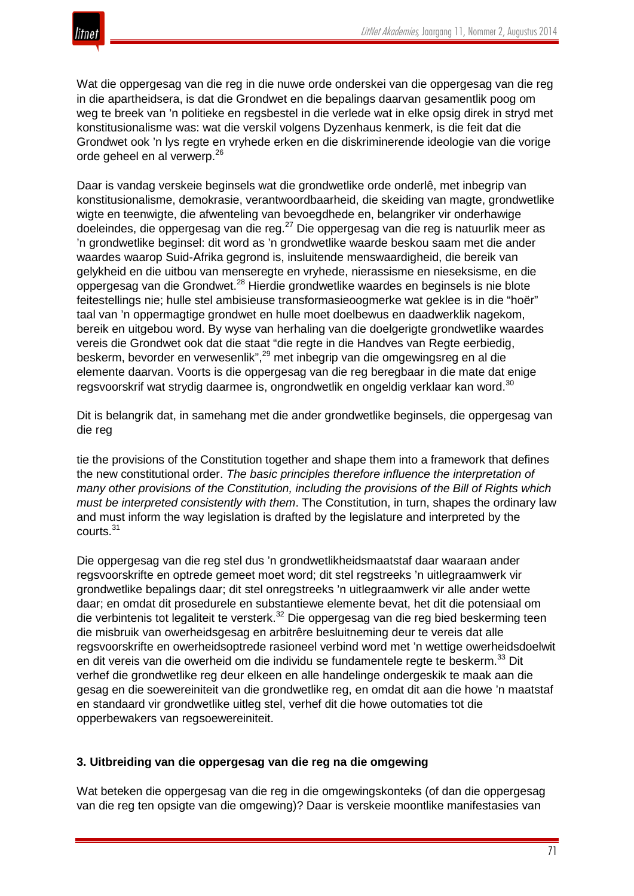Wat die oppergesag van die reg in die nuwe orde onderskei van die oppergesag van die reg in die apartheidsera, is dat die Grondwet en die bepalings daarvan gesamentlik poog om weg te breek van 'n politieke en regsbestel in die verlede wat in elke opsig direk in stryd met konstitusionalisme was: wat die verskil volgens Dyzenhaus kenmerk, is die feit dat die Grondwet ook 'n lys regte en vryhede erken en die diskriminerende ideologie van die vorige orde geheel en al verwerp.<sup>26</sup>

Daar is vandag verskeie beginsels wat die grondwetlike orde onderlê, met inbegrip van konstitusionalisme, demokrasie, verantwoordbaarheid, die skeiding van magte, grondwetlike wigte en teenwigte, die afwenteling van bevoegdhede en, belangriker vir onderhawige doeleindes, die oppergesag van die reg.<sup>27</sup> Die oppergesag van die reg is natuurlik meer as 'n grondwetlike beginsel: dit word as 'n grondwetlike waarde beskou saam met die ander waardes waarop Suid-Afrika gegrond is, insluitende menswaardigheid, die bereik van gelykheid en die uitbou van menseregte en vryhede, nierassisme en nieseksisme, en die oppergesag van die Grondwet.<sup>28</sup> Hierdie grondwetlike waardes en beginsels is nie blote feitestellings nie; hulle stel ambisieuse transformasieoogmerke wat geklee is in die "hoër" taal van 'n oppermagtige grondwet en hulle moet doelbewus en daadwerklik nagekom, bereik en uitgebou word. By wyse van herhaling van die doelgerigte grondwetlike waardes vereis die Grondwet ook dat die staat "die regte in die Handves van Regte eerbiedig, beskerm, bevorder en verwesenlik",<sup>29</sup> met inbegrip van die omgewingsreg en al die elemente daarvan. Voorts is die oppergesag van die reg beregbaar in die mate dat enige regsvoorskrif wat strydig daarmee is, ongrondwetlik en ongeldig verklaar kan word.<sup>30</sup>

Dit is belangrik dat, in samehang met die ander grondwetlike beginsels, die oppergesag van die reg

tie the provisions of the Constitution together and shape them into a framework that defines the new constitutional order. *The basic principles therefore influence the interpretation of many other provisions of the Constitution, including the provisions of the Bill of Rights which must be interpreted consistently with them*. The Constitution, in turn, shapes the ordinary law and must inform the way legislation is drafted by the legislature and interpreted by the courts.<sup>31</sup>

Die oppergesag van die reg stel dus 'n grondwetlikheidsmaatstaf daar waaraan ander regsvoorskrifte en optrede gemeet moet word; dit stel regstreeks 'n uitlegraamwerk vir grondwetlike bepalings daar; dit stel onregstreeks 'n uitlegraamwerk vir alle ander wette daar; en omdat dit prosedurele en substantiewe elemente bevat, het dit die potensiaal om die verbintenis tot legaliteit te versterk.<sup>32</sup> Die oppergesag van die reg bied beskerming teen die misbruik van owerheidsgesag en arbitrêre besluitneming deur te vereis dat alle regsvoorskrifte en owerheidsoptrede rasioneel verbind word met 'n wettige owerheidsdoelwit en dit vereis van die owerheid om die individu se fundamentele regte te beskerm.<sup>33</sup> Dit verhef die grondwetlike reg deur elkeen en alle handelinge ondergeskik te maak aan die gesag en die soewereiniteit van die grondwetlike reg, en omdat dit aan die howe 'n maatstaf en standaard vir grondwetlike uitleg stel, verhef dit die howe outomaties tot die opperbewakers van regsoewereiniteit.

#### **3. Uitbreiding van die oppergesag van die reg na die omgewing**

Wat beteken die oppergesag van die reg in die omgewingskonteks (of dan die oppergesag van die reg ten opsigte van die omgewing)? Daar is verskeie moontlike manifestasies van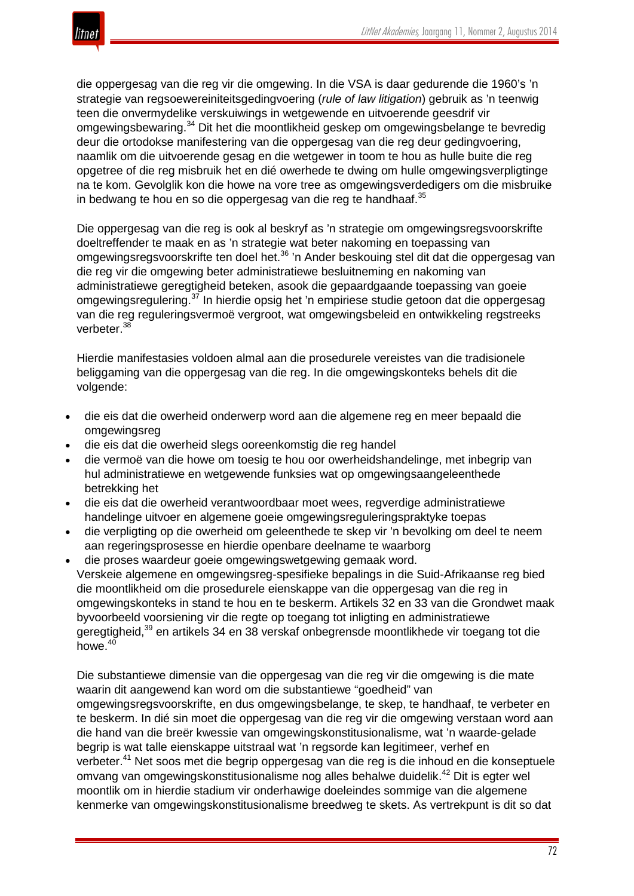

die oppergesag van die reg vir die omgewing. In die VSA is daar gedurende die 1960's 'n strategie van regsoewereiniteitsgedingvoering (*rule of law litigation*) gebruik as 'n teenwig teen die onvermydelike verskuiwings in wetgewende en uitvoerende geesdrif vir omgewingsbewaring.<sup>34</sup> Dit het die moontlikheid geskep om omgewingsbelange te bevredig deur die ortodokse manifestering van die oppergesag van die reg deur gedingvoering, naamlik om die uitvoerende gesag en die wetgewer in toom te hou as hulle buite die reg opgetree of die reg misbruik het en dié owerhede te dwing om hulle omgewingsverpligtinge na te kom. Gevolglik kon die howe na vore tree as omgewingsverdedigers om die misbruike in bedwang te hou en so die oppergesag van die reg te handhaaf.<sup>35</sup>

Die oppergesag van die reg is ook al beskryf as 'n strategie om omgewingsregsvoorskrifte doeltreffender te maak en as 'n strategie wat beter nakoming en toepassing van omgewingsregsvoorskrifte ten doel het.<sup>36</sup> 'n Ander beskouing stel dit dat die oppergesag van die reg vir die omgewing beter administratiewe besluitneming en nakoming van administratiewe geregtigheid beteken, asook die gepaardgaande toepassing van goeie omgewingsregulering.<sup>37</sup> In hierdie opsig het 'n empiriese studie getoon dat die oppergesag van die reg reguleringsvermoë vergroot, wat omgewingsbeleid en ontwikkeling regstreeks verbeter.<sup>38</sup>

Hierdie manifestasies voldoen almal aan die prosedurele vereistes van die tradisionele beliggaming van die oppergesag van die reg. In die omgewingskonteks behels dit die volgende:

- die eis dat die owerheid onderwerp word aan die algemene reg en meer bepaald die omgewingsreg
- die eis dat die owerheid slegs ooreenkomstig die reg handel
- die vermoë van die howe om toesig te hou oor owerheidshandelinge, met inbegrip van hul administratiewe en wetgewende funksies wat op omgewingsaangeleenthede betrekking het
- die eis dat die owerheid verantwoordbaar moet wees, regverdige administratiewe handelinge uitvoer en algemene goeie omgewingsreguleringspraktyke toepas
- die verpligting op die owerheid om geleenthede te skep vir 'n bevolking om deel te neem aan regeringsprosesse en hierdie openbare deelname te waarborg
- die proses waardeur goeie omgewingswetgewing gemaak word. Verskeie algemene en omgewingsreg-spesifieke bepalings in die Suid-Afrikaanse reg bied die moontlikheid om die prosedurele eienskappe van die oppergesag van die reg in omgewingskonteks in stand te hou en te beskerm. Artikels 32 en 33 van die Grondwet maak byvoorbeeld voorsiening vir die regte op toegang tot inligting en administratiewe geregtigheid,<sup>39</sup> en artikels 34 en 38 verskaf onbegrensde moontlikhede vir toegang tot die howe. $40$

Die substantiewe dimensie van die oppergesag van die reg vir die omgewing is die mate waarin dit aangewend kan word om die substantiewe "goedheid" van omgewingsregsvoorskrifte, en dus omgewingsbelange, te skep, te handhaaf, te verbeter en te beskerm. In dié sin moet die oppergesag van die reg vir die omgewing verstaan word aan die hand van die breër kwessie van omgewingskonstitusionalisme, wat 'n waarde-gelade begrip is wat talle eienskappe uitstraal wat 'n regsorde kan legitimeer, verhef en verbeter.<sup>41</sup> Net soos met die begrip oppergesag van die reg is die inhoud en die konseptuele omvang van omgewingskonstitusionalisme nog alles behalwe duidelik.<sup>42</sup> Dit is egter wel moontlik om in hierdie stadium vir onderhawige doeleindes sommige van die algemene kenmerke van omgewingskonstitusionalisme breedweg te skets. As vertrekpunt is dit so dat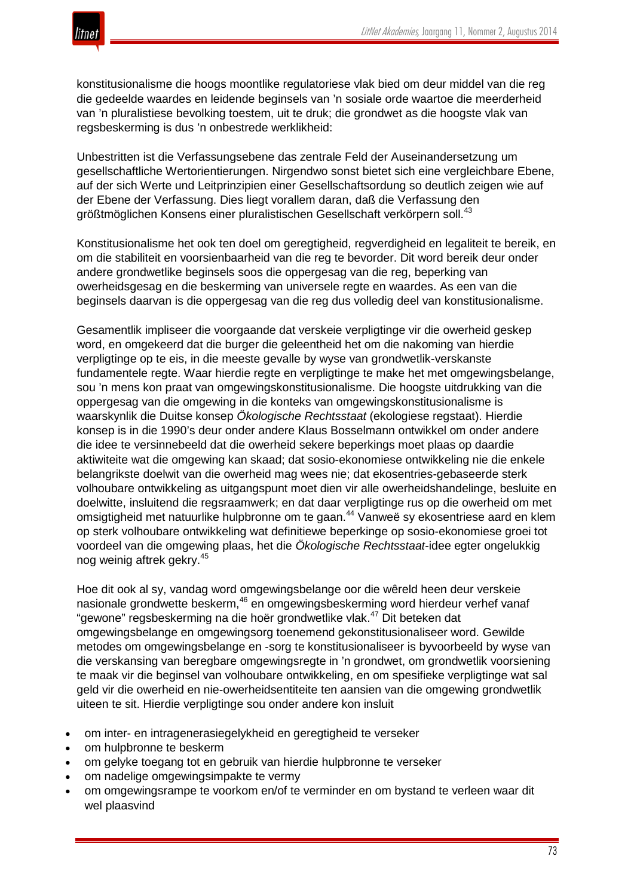

konstitusionalisme die hoogs moontlike regulatoriese vlak bied om deur middel van die reg die gedeelde waardes en leidende beginsels van 'n sosiale orde waartoe die meerderheid van 'n pluralistiese bevolking toestem, uit te druk; die grondwet as die hoogste vlak van regsbeskerming is dus 'n onbestrede werklikheid:

Unbestritten ist die Verfassungsebene das zentrale Feld der Auseinandersetzung um gesellschaftliche Wertorientierungen. Nirgendwo sonst bietet sich eine vergleichbare Ebene, auf der sich Werte und Leitprinzipien einer Gesellschaftsordung so deutlich zeigen wie auf der Ebene der Verfassung. Dies liegt vorallem daran, daß die Verfassung den größtmöglichen Konsens einer pluralistischen Gesellschaft verkörpern soll.<sup>43</sup>

Konstitusionalisme het ook ten doel om geregtigheid, regverdigheid en legaliteit te bereik, en om die stabiliteit en voorsienbaarheid van die reg te bevorder. Dit word bereik deur onder andere grondwetlike beginsels soos die oppergesag van die reg, beperking van owerheidsgesag en die beskerming van universele regte en waardes. As een van die beginsels daarvan is die oppergesag van die reg dus volledig deel van konstitusionalisme.

Gesamentlik impliseer die voorgaande dat verskeie verpligtinge vir die owerheid geskep word, en omgekeerd dat die burger die geleentheid het om die nakoming van hierdie verpligtinge op te eis, in die meeste gevalle by wyse van grondwetlik-verskanste fundamentele regte. Waar hierdie regte en verpligtinge te make het met omgewingsbelange, sou 'n mens kon praat van omgewingskonstitusionalisme. Die hoogste uitdrukking van die oppergesag van die omgewing in die konteks van omgewingskonstitusionalisme is waarskynlik die Duitse konsep *Ökologische Rechtsstaat* (ekologiese regstaat). Hierdie konsep is in die 1990's deur onder andere Klaus Bosselmann ontwikkel om onder andere die idee te versinnebeeld dat die owerheid sekere beperkings moet plaas op daardie aktiwiteite wat die omgewing kan skaad; dat sosio-ekonomiese ontwikkeling nie die enkele belangrikste doelwit van die owerheid mag wees nie; dat ekosentries-gebaseerde sterk volhoubare ontwikkeling as uitgangspunt moet dien vir alle owerheidshandelinge, besluite en doelwitte, insluitend die regsraamwerk; en dat daar verpligtinge rus op die owerheid om met omsigtigheid met natuurlike hulpbronne om te gaan.<sup>44</sup> Vanweë sy ekosentriese aard en klem op sterk volhoubare ontwikkeling wat definitiewe beperkinge op sosio-ekonomiese groei tot voordeel van die omgewing plaas, het die *Ökologische Rechtsstaat*-idee egter ongelukkig nog weinig aftrek gekry.<sup>45</sup>

Hoe dit ook al sy, vandag word omgewingsbelange oor die wêreld heen deur verskeie nasionale grondwette beskerm,<sup>46</sup> en omgewingsbeskerming word hierdeur verhef vanaf "gewone" regsbeskerming na die hoër grondwetlike vlak.<sup>47</sup> Dit beteken dat omgewingsbelange en omgewingsorg toenemend gekonstitusionaliseer word. Gewilde metodes om omgewingsbelange en -sorg te konstitusionaliseer is byvoorbeeld by wyse van die verskansing van beregbare omgewingsregte in 'n grondwet, om grondwetlik voorsiening te maak vir die beginsel van volhoubare ontwikkeling, en om spesifieke verpligtinge wat sal geld vir die owerheid en nie-owerheidsentiteite ten aansien van die omgewing grondwetlik uiteen te sit. Hierdie verpligtinge sou onder andere kon insluit

- om inter- en intragenerasiegelykheid en geregtigheid te verseker
- om hulpbronne te beskerm
- om gelyke toegang tot en gebruik van hierdie hulpbronne te verseker
- om nadelige omgewingsimpakte te vermy
- om omgewingsrampe te voorkom en/of te verminder en om bystand te verleen waar dit wel plaasvind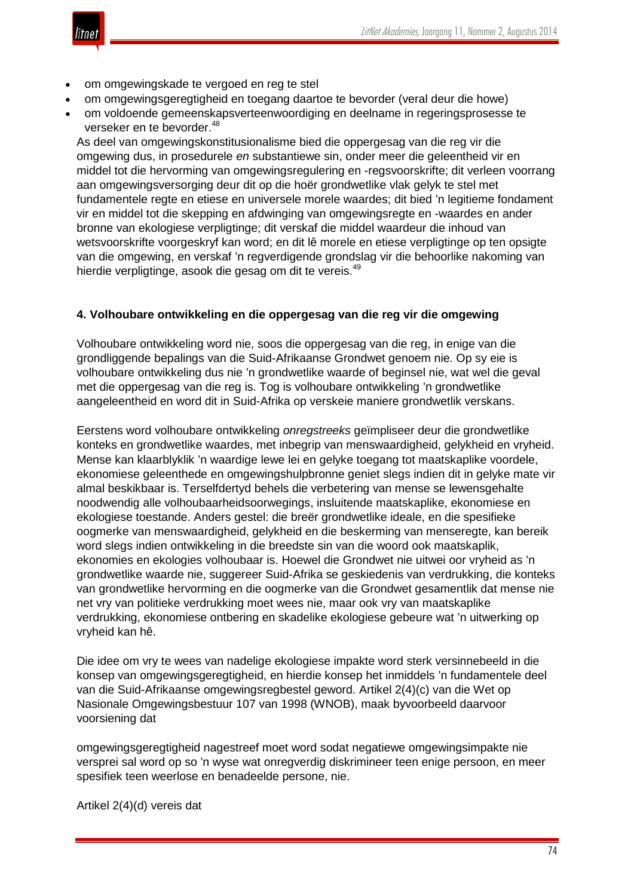

- om omgewingskade te vergoed en reg te stel
- om omgewingsgeregtigheid en toegang daartoe te bevorder (veral deur die howe)
- om voldoende gemeenskapsverteenwoordiging en deelname in regeringsprosesse te verseker en te bevorder.<sup>48</sup>

As deel van omgewingskonstitusionalisme bied die oppergesag van die reg vir die omgewing dus, in prosedurele *en* substantiewe sin, onder meer die geleentheid vir en middel tot die hervorming van omgewingsregulering en -regsvoorskrifte; dit verleen voorrang aan omgewingsversorging deur dit op die hoër grondwetlike vlak gelyk te stel met fundamentele regte en etiese en universele morele waardes; dit bied 'n legitieme fondament vir en middel tot die skepping en afdwinging van omgewingsregte en -waardes en ander bronne van ekologiese verpligtinge; dit verskaf die middel waardeur die inhoud van wetsvoorskrifte voorgeskryf kan word; en dit lê morele en etiese verpligtinge op ten opsigte van die omgewing, en verskaf 'n regverdigende grondslag vir die behoorlike nakoming van hierdie verpligtinge, asook die gesag om dit te vereis.<sup>49</sup>

#### **4. Volhoubare ontwikkeling en die oppergesag van die reg vir die omgewing**

Volhoubare ontwikkeling word nie, soos die oppergesag van die reg, in enige van die grondliggende bepalings van die Suid-Afrikaanse Grondwet genoem nie. Op sy eie is volhoubare ontwikkeling dus nie 'n grondwetlike waarde of beginsel nie, wat wel die geval met die oppergesag van die reg is. Tog is volhoubare ontwikkeling 'n grondwetlike aangeleentheid en word dit in Suid-Afrika op verskeie maniere grondwetlik verskans.

Eerstens word volhoubare ontwikkeling *onregstreeks* geïmpliseer deur die grondwetlike konteks en grondwetlike waardes, met inbegrip van menswaardigheid, gelykheid en vryheid. Mense kan klaarblyklik 'n waardige lewe lei en gelyke toegang tot maatskaplike voordele, ekonomiese geleenthede en omgewingshulpbronne geniet slegs indien dit in gelyke mate vir almal beskikbaar is. Terselfdertyd behels die verbetering van mense se lewensgehalte noodwendig alle volhoubaarheidsoorwegings, insluitende maatskaplike, ekonomiese en ekologiese toestande. Anders gestel: die breër grondwetlike ideale, en die spesifieke oogmerke van menswaardigheid, gelykheid en die beskerming van menseregte, kan bereik word slegs indien ontwikkeling in die breedste sin van die woord ook maatskaplik, ekonomies en ekologies volhoubaar is. Hoewel die Grondwet nie uitwei oor vryheid as 'n grondwetlike waarde nie, suggereer Suid-Afrika se geskiedenis van verdrukking, die konteks van grondwetlike hervorming en die oogmerke van die Grondwet gesamentlik dat mense nie net vry van politieke verdrukking moet wees nie, maar ook vry van maatskaplike verdrukking, ekonomiese ontbering en skadelike ekologiese gebeure wat 'n uitwerking op vryheid kan hê.

Die idee om vry te wees van nadelige ekologiese impakte word sterk versinnebeeld in die konsep van omgewingsgeregtigheid, en hierdie konsep het inmiddels 'n fundamentele deel van die Suid-Afrikaanse omgewingsregbestel geword. Artikel 2(4)(c) van die Wet op Nasionale Omgewingsbestuur 107 van 1998 (WNOB), maak byvoorbeeld daarvoor voorsiening dat

omgewingsgeregtigheid nagestreef moet word sodat negatiewe omgewingsimpakte nie versprei sal word op so 'n wyse wat onregverdig diskrimineer teen enige persoon, en meer spesifiek teen weerlose en benadeelde persone, nie.

Artikel 2(4)(d) vereis dat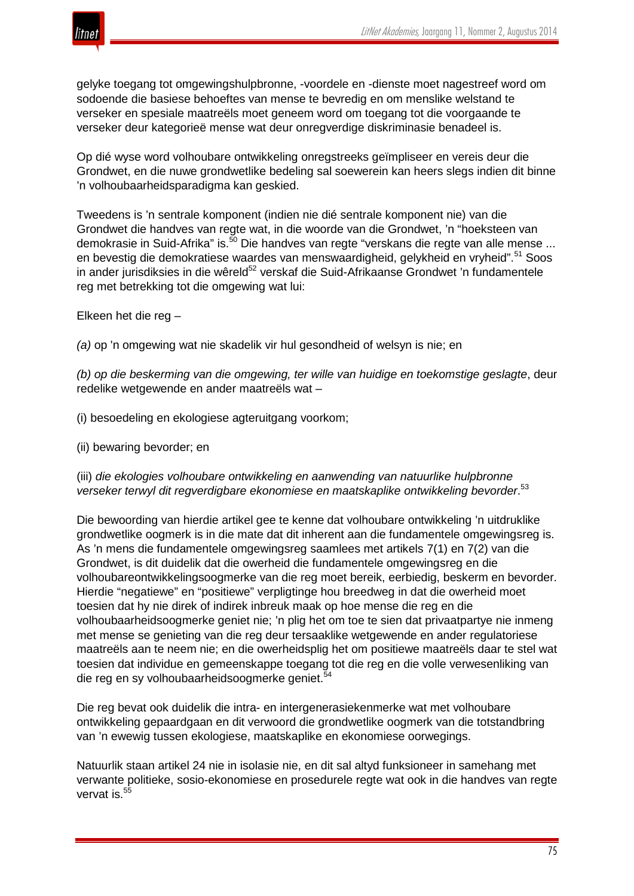

gelyke toegang tot omgewingshulpbronne, -voordele en -dienste moet nagestreef word om sodoende die basiese behoeftes van mense te bevredig en om menslike welstand te verseker en spesiale maatreëls moet geneem word om toegang tot die voorgaande te verseker deur kategorieë mense wat deur onregverdige diskriminasie benadeel is.

Op dié wyse word volhoubare ontwikkeling onregstreeks geïmpliseer en vereis deur die Grondwet, en die nuwe grondwetlike bedeling sal soewerein kan heers slegs indien dit binne 'n volhoubaarheidsparadigma kan geskied.

Tweedens is 'n sentrale komponent (indien nie dié sentrale komponent nie) van die Grondwet die handves van regte wat, in die woorde van die Grondwet, 'n "hoeksteen van demokrasie in Suid-Afrika" is.<sup>50</sup> Die handves van regte "verskans die regte van alle mense ... en bevestig die demokratiese waardes van menswaardigheid, gelykheid en vryheid".<sup>51</sup> Soos in ander jurisdiksies in die wêreld<sup>52</sup> verskaf die Suid-Afrikaanse Grondwet 'n fundamentele reg met betrekking tot die omgewing wat lui:

Elkeen het die reg –

*(a)* op 'n omgewing wat nie skadelik vir hul gesondheid of welsyn is nie; en

*(b) op die beskerming van die omgewing, ter wille van huidige en toekomstige geslagte*, deur redelike wetgewende en ander maatreëls wat –

(i) besoedeling en ekologiese agteruitgang voorkom;

(ii) bewaring bevorder; en

(iii) *die ekologies volhoubare ontwikkeling en aanwending van natuurlike hulpbronne verseker terwyl dit regverdigbare ekonomiese en maatskaplike ontwikkeling bevorder*. 53

Die bewoording van hierdie artikel gee te kenne dat volhoubare ontwikkeling 'n uitdruklike grondwetlike oogmerk is in die mate dat dit inherent aan die fundamentele omgewingsreg is. As 'n mens die fundamentele omgewingsreg saamlees met artikels 7(1) en 7(2) van die Grondwet, is dit duidelik dat die owerheid die fundamentele omgewingsreg en die volhoubareontwikkelingsoogmerke van die reg moet bereik, eerbiedig, beskerm en bevorder. Hierdie "negatiewe" en "positiewe" verpligtinge hou breedweg in dat die owerheid moet toesien dat hy nie direk of indirek inbreuk maak op hoe mense die reg en die volhoubaarheidsoogmerke geniet nie; 'n plig het om toe te sien dat privaatpartye nie inmeng met mense se genieting van die reg deur tersaaklike wetgewende en ander regulatoriese maatreëls aan te neem nie; en die owerheidsplig het om positiewe maatreëls daar te stel wat toesien dat individue en gemeenskappe toegang tot die reg en die volle verwesenliking van die reg en sy volhoubaarheidsoogmerke geniet.<sup>54</sup>

Die reg bevat ook duidelik die intra- en intergenerasiekenmerke wat met volhoubare ontwikkeling gepaardgaan en dit verwoord die grondwetlike oogmerk van die totstandbring van 'n ewewig tussen ekologiese, maatskaplike en ekonomiese oorwegings.

Natuurlik staan artikel 24 nie in isolasie nie, en dit sal altyd funksioneer in samehang met verwante politieke, sosio-ekonomiese en prosedurele regte wat ook in die handves van regte vervat is.<sup>55</sup>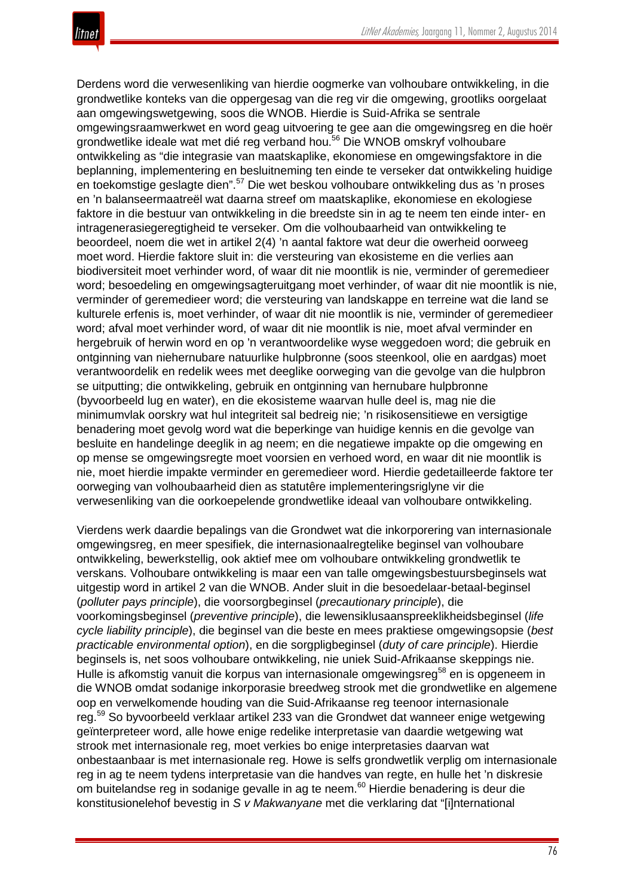Derdens word die verwesenliking van hierdie oogmerke van volhoubare ontwikkeling, in die grondwetlike konteks van die oppergesag van die reg vir die omgewing, grootliks oorgelaat aan omgewingswetgewing, soos die WNOB. Hierdie is Suid-Afrika se sentrale omgewingsraamwerkwet en word geag uitvoering te gee aan die omgewingsreg en die hoër grondwetlike ideale wat met dié reg verband hou.<sup>56</sup> Die WNOB omskryf volhoubare ontwikkeling as "die integrasie van maatskaplike, ekonomiese en omgewingsfaktore in die beplanning, implementering en besluitneming ten einde te verseker dat ontwikkeling huidige en toekomstige geslagte dien".<sup>57</sup> Die wet beskou volhoubare ontwikkeling dus as 'n proses en 'n balanseermaatreël wat daarna streef om maatskaplike, ekonomiese en ekologiese faktore in die bestuur van ontwikkeling in die breedste sin in ag te neem ten einde inter- en intragenerasiegeregtigheid te verseker. Om die volhoubaarheid van ontwikkeling te beoordeel, noem die wet in artikel 2(4) 'n aantal faktore wat deur die owerheid oorweeg moet word. Hierdie faktore sluit in: die versteuring van ekosisteme en die verlies aan biodiversiteit moet verhinder word, of waar dit nie moontlik is nie, verminder of geremedieer word; besoedeling en omgewingsagteruitgang moet verhinder, of waar dit nie moontlik is nie, verminder of geremedieer word; die versteuring van landskappe en terreine wat die land se kulturele erfenis is, moet verhinder, of waar dit nie moontlik is nie, verminder of geremedieer word; afval moet verhinder word, of waar dit nie moontlik is nie, moet afval verminder en hergebruik of herwin word en op 'n verantwoordelike wyse weggedoen word; die gebruik en ontginning van niehernubare natuurlike hulpbronne (soos steenkool, olie en aardgas) moet verantwoordelik en redelik wees met deeglike oorweging van die gevolge van die hulpbron se uitputting; die ontwikkeling, gebruik en ontginning van hernubare hulpbronne (byvoorbeeld lug en water), en die ekosisteme waarvan hulle deel is, mag nie die minimumvlak oorskry wat hul integriteit sal bedreig nie; 'n risikosensitiewe en versigtige benadering moet gevolg word wat die beperkinge van huidige kennis en die gevolge van besluite en handelinge deeglik in ag neem; en die negatiewe impakte op die omgewing en op mense se omgewingsregte moet voorsien en verhoed word, en waar dit nie moontlik is nie, moet hierdie impakte verminder en geremedieer word. Hierdie gedetailleerde faktore ter oorweging van volhoubaarheid dien as statutêre implementeringsriglyne vir die verwesenliking van die oorkoepelende grondwetlike ideaal van volhoubare ontwikkeling.

Vierdens werk daardie bepalings van die Grondwet wat die inkorporering van internasionale omgewingsreg, en meer spesifiek, die internasionaalregtelike beginsel van volhoubare ontwikkeling, bewerkstellig, ook aktief mee om volhoubare ontwikkeling grondwetlik te verskans. Volhoubare ontwikkeling is maar een van talle omgewingsbestuursbeginsels wat uitgestip word in artikel 2 van die WNOB. Ander sluit in die besoedelaar-betaal-beginsel (*polluter pays principle*), die voorsorgbeginsel (*precautionary principle*), die voorkomingsbeginsel (*preventive principle*), die lewensiklusaanspreeklikheidsbeginsel (*life cycle liability principle*), die beginsel van die beste en mees praktiese omgewingsopsie (*best practicable environmental option*), en die sorgpligbeginsel (*duty of care principle*). Hierdie beginsels is, net soos volhoubare ontwikkeling, nie uniek Suid-Afrikaanse skeppings nie. Hulle is afkomstig vanuit die korpus van internasionale omgewingsreg<sup>58</sup> en is opgeneem in die WNOB omdat sodanige inkorporasie breedweg strook met die grondwetlike en algemene oop en verwelkomende houding van die Suid-Afrikaanse reg teenoor internasionale reg.<sup>59</sup> So byvoorbeeld verklaar artikel 233 van die Grondwet dat wanneer enige wetgewing geïnterpreteer word, alle howe enige redelike interpretasie van daardie wetgewing wat strook met internasionale reg, moet verkies bo enige interpretasies daarvan wat onbestaanbaar is met internasionale reg. Howe is selfs grondwetlik verplig om internasionale reg in ag te neem tydens interpretasie van die handves van regte, en hulle het 'n diskresie om buitelandse reg in sodanige gevalle in ag te neem.<sup>60</sup> Hierdie benadering is deur die konstitusionelehof bevestig in *S v Makwanyane* met die verklaring dat "[i]nternational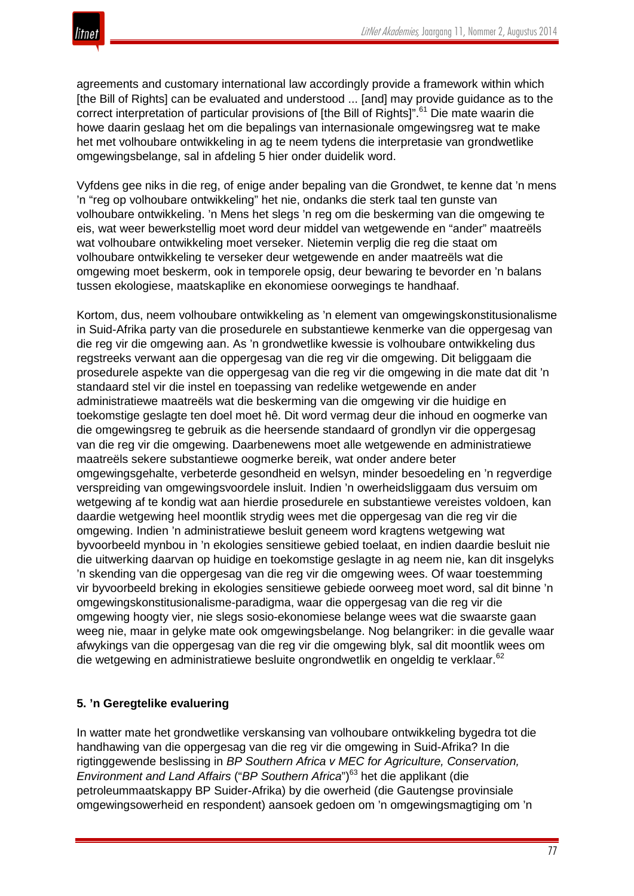

agreements and customary international law accordingly provide a framework within which [the Bill of Rights] can be evaluated and understood ... [and] may provide guidance as to the correct interpretation of particular provisions of [the Bill of Rights]".<sup>61</sup> Die mate waarin die howe daarin geslaag het om die bepalings van internasionale omgewingsreg wat te make het met volhoubare ontwikkeling in ag te neem tydens die interpretasie van grondwetlike omgewingsbelange, sal in afdeling 5 hier onder duidelik word.

Vyfdens gee niks in die reg, of enige ander bepaling van die Grondwet, te kenne dat 'n mens 'n "reg op volhoubare ontwikkeling" het nie, ondanks die sterk taal ten gunste van volhoubare ontwikkeling. 'n Mens het slegs 'n reg om die beskerming van die omgewing te eis, wat weer bewerkstellig moet word deur middel van wetgewende en "ander" maatreëls wat volhoubare ontwikkeling moet verseker. Nietemin verplig die reg die staat om volhoubare ontwikkeling te verseker deur wetgewende en ander maatreëls wat die omgewing moet beskerm, ook in temporele opsig, deur bewaring te bevorder en 'n balans tussen ekologiese, maatskaplike en ekonomiese oorwegings te handhaaf.

Kortom, dus, neem volhoubare ontwikkeling as 'n element van omgewingskonstitusionalisme in Suid-Afrika party van die prosedurele en substantiewe kenmerke van die oppergesag van die reg vir die omgewing aan. As 'n grondwetlike kwessie is volhoubare ontwikkeling dus regstreeks verwant aan die oppergesag van die reg vir die omgewing. Dit beliggaam die prosedurele aspekte van die oppergesag van die reg vir die omgewing in die mate dat dit 'n standaard stel vir die instel en toepassing van redelike wetgewende en ander administratiewe maatreëls wat die beskerming van die omgewing vir die huidige en toekomstige geslagte ten doel moet hê. Dit word vermag deur die inhoud en oogmerke van die omgewingsreg te gebruik as die heersende standaard of grondlyn vir die oppergesag van die reg vir die omgewing. Daarbenewens moet alle wetgewende en administratiewe maatreëls sekere substantiewe oogmerke bereik, wat onder andere beter omgewingsgehalte, verbeterde gesondheid en welsyn, minder besoedeling en 'n regverdige verspreiding van omgewingsvoordele insluit. Indien 'n owerheidsliggaam dus versuim om wetgewing af te kondig wat aan hierdie prosedurele en substantiewe vereistes voldoen, kan daardie wetgewing heel moontlik strydig wees met die oppergesag van die reg vir die omgewing. Indien 'n administratiewe besluit geneem word kragtens wetgewing wat byvoorbeeld mynbou in 'n ekologies sensitiewe gebied toelaat, en indien daardie besluit nie die uitwerking daarvan op huidige en toekomstige geslagte in ag neem nie, kan dit insgelyks 'n skending van die oppergesag van die reg vir die omgewing wees. Of waar toestemming vir byvoorbeeld breking in ekologies sensitiewe gebiede oorweeg moet word, sal dit binne 'n omgewingskonstitusionalisme-paradigma, waar die oppergesag van die reg vir die omgewing hoogty vier, nie slegs sosio-ekonomiese belange wees wat die swaarste gaan weeg nie, maar in gelyke mate ook omgewingsbelange. Nog belangriker: in die gevalle waar afwykings van die oppergesag van die reg vir die omgewing blyk, sal dit moontlik wees om die wetgewing en administratiewe besluite ongrondwetlik en ongeldig te verklaar.<sup>62</sup>

# **5. 'n Geregtelike evaluering**

In watter mate het grondwetlike verskansing van volhoubare ontwikkeling bygedra tot die handhawing van die oppergesag van die reg vir die omgewing in Suid-Afrika? In die rigtinggewende beslissing in *BP Southern Africa v MEC for Agriculture, Conservation, Environment and Land Affairs* ("*BP Southern Africa*")<sup>63</sup> het die applikant (die petroleummaatskappy BP Suider-Afrika) by die owerheid (die Gautengse provinsiale omgewingsowerheid en respondent) aansoek gedoen om 'n omgewingsmagtiging om 'n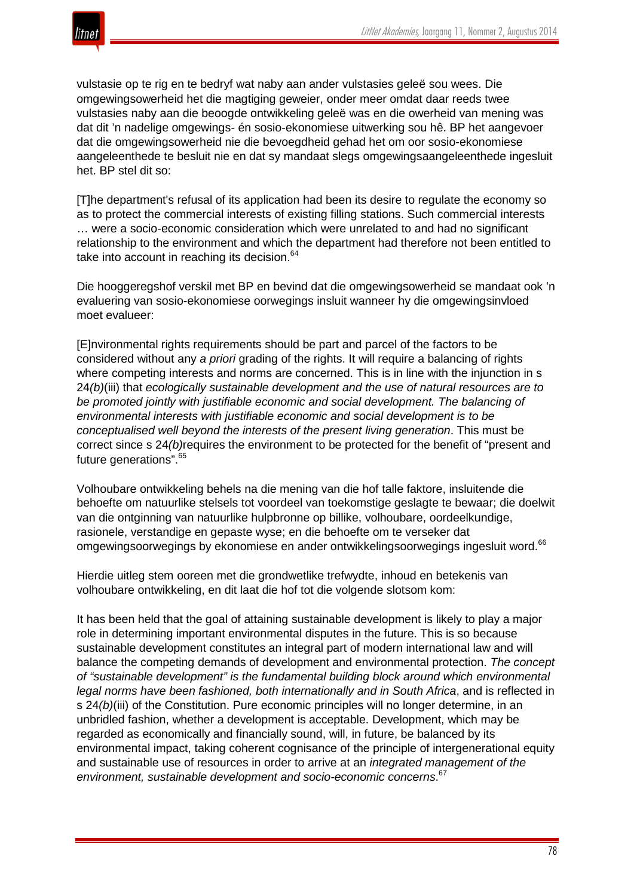

vulstasie op te rig en te bedryf wat naby aan ander vulstasies geleë sou wees. Die omgewingsowerheid het die magtiging geweier, onder meer omdat daar reeds twee vulstasies naby aan die beoogde ontwikkeling geleë was en die owerheid van mening was dat dit 'n nadelige omgewings- én sosio-ekonomiese uitwerking sou hê. BP het aangevoer dat die omgewingsowerheid nie die bevoegdheid gehad het om oor sosio-ekonomiese aangeleenthede te besluit nie en dat sy mandaat slegs omgewingsaangeleenthede ingesluit het. BP stel dit so:

[T]he department's refusal of its application had been its desire to regulate the economy so as to protect the commercial interests of existing filling stations. Such commercial interests … were a socio-economic consideration which were unrelated to and had no significant relationship to the environment and which the department had therefore not been entitled to take into account in reaching its decision.<sup>64</sup>

Die hooggeregshof verskil met BP en bevind dat die omgewingsowerheid se mandaat ook 'n evaluering van sosio-ekonomiese oorwegings insluit wanneer hy die omgewingsinvloed moet evalueer:

[E]nvironmental rights requirements should be part and parcel of the factors to be considered without any *a priori* grading of the rights. It will require a balancing of rights where competing interests and norms are concerned. This is in line with the injunction in s 24*(b)*(iii) that *ecologically sustainable development and the use of natural resources are to be promoted jointly with justifiable economic and social development. The balancing of environmental interests with justifiable economic and social development is to be conceptualised well beyond the interests of the present living generation*. This must be correct since s 24*(b)*requires the environment to be protected for the benefit of "present and future generations".<sup>65</sup>

Volhoubare ontwikkeling behels na die mening van die hof talle faktore, insluitende die behoefte om natuurlike stelsels tot voordeel van toekomstige geslagte te bewaar; die doelwit van die ontginning van natuurlike hulpbronne op billike, volhoubare, oordeelkundige, rasionele, verstandige en gepaste wyse; en die behoefte om te verseker dat omgewingsoorwegings by ekonomiese en ander ontwikkelingsoorwegings ingesluit word.<sup>66</sup>

Hierdie uitleg stem ooreen met die grondwetlike trefwydte, inhoud en betekenis van volhoubare ontwikkeling, en dit laat die hof tot die volgende slotsom kom:

It has been held that the goal of attaining sustainable development is likely to play a major role in determining important environmental disputes in the future. This is so because sustainable development constitutes an integral part of modern international law and will balance the competing demands of development and environmental protection. *The concept of "sustainable development" is the fundamental building block around which environmental legal norms have been fashioned, both internationally and in South Africa*, and is reflected in s 24*(b)*(iii) of the Constitution. Pure economic principles will no longer determine, in an unbridled fashion, whether a development is acceptable. Development, which may be regarded as economically and financially sound, will, in future, be balanced by its environmental impact, taking coherent cognisance of the principle of intergenerational equity and sustainable use of resources in order to arrive at an *integrated management of the environment, sustainable development and socio-economic concerns*. 67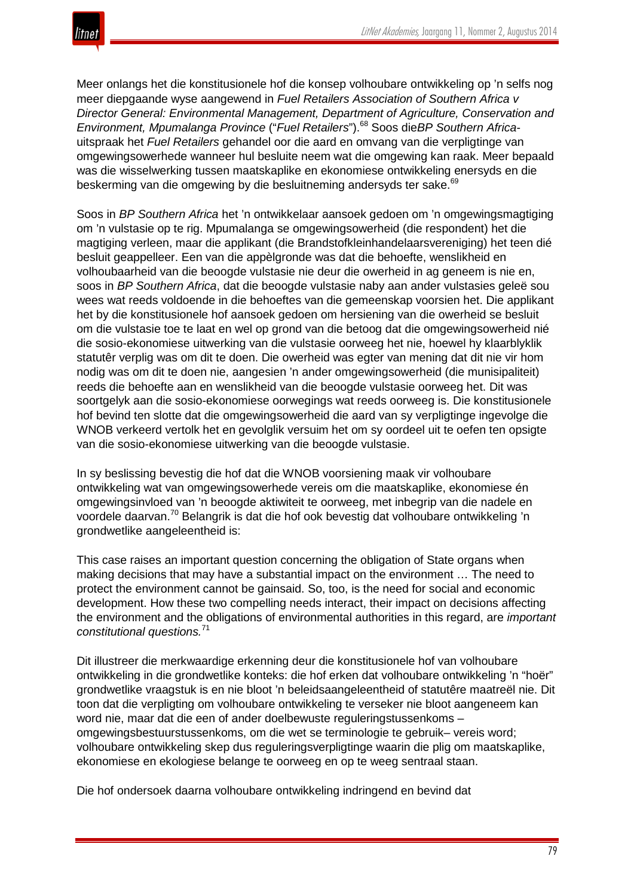Meer onlangs het die konstitusionele hof die konsep volhoubare ontwikkeling op 'n selfs nog meer diepgaande wyse aangewend in *Fuel Retailers Association of Southern Africa v Director General: Environmental Management, Department of Agriculture, Conservation and Environment, Mpumalanga Province* ("*Fuel Retailers*").<sup>68</sup> Soos die*BP Southern Africa*uitspraak het *Fuel Retailers* gehandel oor die aard en omvang van die verpligtinge van omgewingsowerhede wanneer hul besluite neem wat die omgewing kan raak. Meer bepaald was die wisselwerking tussen maatskaplike en ekonomiese ontwikkeling enersyds en die beskerming van die omgewing by die besluitneming andersyds ter sake.<sup>69</sup>

Soos in *BP Southern Africa* het 'n ontwikkelaar aansoek gedoen om 'n omgewingsmagtiging om 'n vulstasie op te rig. Mpumalanga se omgewingsowerheid (die respondent) het die magtiging verleen, maar die applikant (die Brandstofkleinhandelaarsvereniging) het teen dié besluit geappelleer. Een van die appèlgronde was dat die behoefte, wenslikheid en volhoubaarheid van die beoogde vulstasie nie deur die owerheid in ag geneem is nie en, soos in *BP Southern Africa*, dat die beoogde vulstasie naby aan ander vulstasies geleë sou wees wat reeds voldoende in die behoeftes van die gemeenskap voorsien het. Die applikant het by die konstitusionele hof aansoek gedoen om hersiening van die owerheid se besluit om die vulstasie toe te laat en wel op grond van die betoog dat die omgewingsowerheid nié die sosio-ekonomiese uitwerking van die vulstasie oorweeg het nie, hoewel hy klaarblyklik statutêr verplig was om dit te doen. Die owerheid was egter van mening dat dit nie vir hom nodig was om dit te doen nie, aangesien 'n ander omgewingsowerheid (die munisipaliteit) reeds die behoefte aan en wenslikheid van die beoogde vulstasie oorweeg het. Dit was soortgelyk aan die sosio-ekonomiese oorwegings wat reeds oorweeg is. Die konstitusionele hof bevind ten slotte dat die omgewingsowerheid die aard van sy verpligtinge ingevolge die WNOB verkeerd vertolk het en gevolglik versuim het om sy oordeel uit te oefen ten opsigte van die sosio-ekonomiese uitwerking van die beoogde vulstasie.

In sy beslissing bevestig die hof dat die WNOB voorsiening maak vir volhoubare ontwikkeling wat van omgewingsowerhede vereis om die maatskaplike, ekonomiese én omgewingsinvloed van 'n beoogde aktiwiteit te oorweeg, met inbegrip van die nadele en voordele daarvan.<sup>70</sup> Belangrik is dat die hof ook bevestig dat volhoubare ontwikkeling 'n grondwetlike aangeleentheid is:

This case raises an important question concerning the obligation of State organs when making decisions that may have a substantial impact on the environment … The need to protect the environment cannot be gainsaid. So, too, is the need for social and economic development. How these two compelling needs interact, their impact on decisions affecting the environment and the obligations of environmental authorities in this regard, are *important constitutional questions.*<sup>71</sup>

Dit illustreer die merkwaardige erkenning deur die konstitusionele hof van volhoubare ontwikkeling in die grondwetlike konteks: die hof erken dat volhoubare ontwikkeling 'n "hoër" grondwetlike vraagstuk is en nie bloot 'n beleidsaangeleentheid of statutêre maatreël nie. Dit toon dat die verpligting om volhoubare ontwikkeling te verseker nie bloot aangeneem kan word nie, maar dat die een of ander doelbewuste reguleringstussenkoms – omgewingsbestuurstussenkoms, om die wet se terminologie te gebruik– vereis word; volhoubare ontwikkeling skep dus reguleringsverpligtinge waarin die plig om maatskaplike, ekonomiese en ekologiese belange te oorweeg en op te weeg sentraal staan.

Die hof ondersoek daarna volhoubare ontwikkeling indringend en bevind dat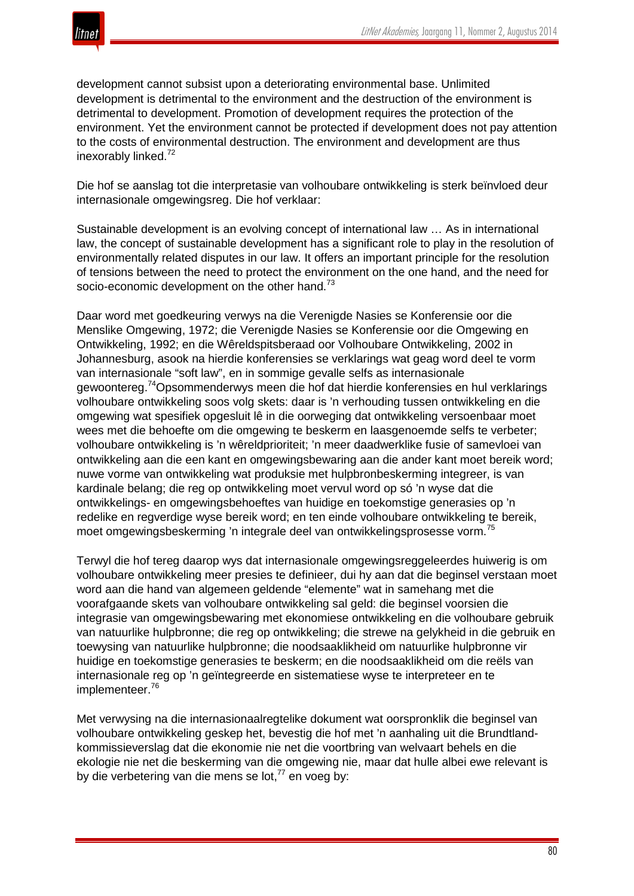



development cannot subsist upon a deteriorating environmental base. Unlimited development is detrimental to the environment and the destruction of the environment is detrimental to development. Promotion of development requires the protection of the environment. Yet the environment cannot be protected if development does not pay attention to the costs of environmental destruction. The environment and development are thus inexorably linked.<sup>72</sup>

Die hof se aanslag tot die interpretasie van volhoubare ontwikkeling is sterk beïnvloed deur internasionale omgewingsreg. Die hof verklaar:

Sustainable development is an evolving concept of international law … As in international law, the concept of sustainable development has a significant role to play in the resolution of environmentally related disputes in our law. It offers an important principle for the resolution of tensions between the need to protect the environment on the one hand, and the need for socio-economic development on the other hand.<sup>73</sup>

Daar word met goedkeuring verwys na die Verenigde Nasies se Konferensie oor die Menslike Omgewing, 1972; die Verenigde Nasies se Konferensie oor die Omgewing en Ontwikkeling, 1992; en die Wêreldspitsberaad oor Volhoubare Ontwikkeling, 2002 in Johannesburg, asook na hierdie konferensies se verklarings wat geag word deel te vorm van internasionale "soft law", en in sommige gevalle selfs as internasionale gewoontereg.74Opsommenderwys meen die hof dat hierdie konferensies en hul verklarings volhoubare ontwikkeling soos volg skets: daar is 'n verhouding tussen ontwikkeling en die omgewing wat spesifiek opgesluit lê in die oorweging dat ontwikkeling versoenbaar moet wees met die behoefte om die omgewing te beskerm en laasgenoemde selfs te verbeter; volhoubare ontwikkeling is 'n wêreldprioriteit; 'n meer daadwerklike fusie of samevloei van ontwikkeling aan die een kant en omgewingsbewaring aan die ander kant moet bereik word; nuwe vorme van ontwikkeling wat produksie met hulpbronbeskerming integreer, is van kardinale belang; die reg op ontwikkeling moet vervul word op só 'n wyse dat die ontwikkelings- en omgewingsbehoeftes van huidige en toekomstige generasies op 'n redelike en regverdige wyse bereik word; en ten einde volhoubare ontwikkeling te bereik, moet omgewingsbeskerming 'n integrale deel van ontwikkelingsprosesse vorm.<sup>75</sup>

Terwyl die hof tereg daarop wys dat internasionale omgewingsreggeleerdes huiwerig is om volhoubare ontwikkeling meer presies te definieer, dui hy aan dat die beginsel verstaan moet word aan die hand van algemeen geldende "elemente" wat in samehang met die voorafgaande skets van volhoubare ontwikkeling sal geld: die beginsel voorsien die integrasie van omgewingsbewaring met ekonomiese ontwikkeling en die volhoubare gebruik van natuurlike hulpbronne; die reg op ontwikkeling; die strewe na gelykheid in die gebruik en toewysing van natuurlike hulpbronne; die noodsaaklikheid om natuurlike hulpbronne vir huidige en toekomstige generasies te beskerm; en die noodsaaklikheid om die reëls van internasionale reg op 'n geïntegreerde en sistematiese wyse te interpreteer en te implementeer.<sup>76</sup>

Met verwysing na die internasionaalregtelike dokument wat oorspronklik die beginsel van volhoubare ontwikkeling geskep het, bevestig die hof met 'n aanhaling uit die Brundtlandkommissieverslag dat die ekonomie nie net die voortbring van welvaart behels en die ekologie nie net die beskerming van die omgewing nie, maar dat hulle albei ewe relevant is by die verbetering van die mens se lot.<sup>77</sup> en voeg by: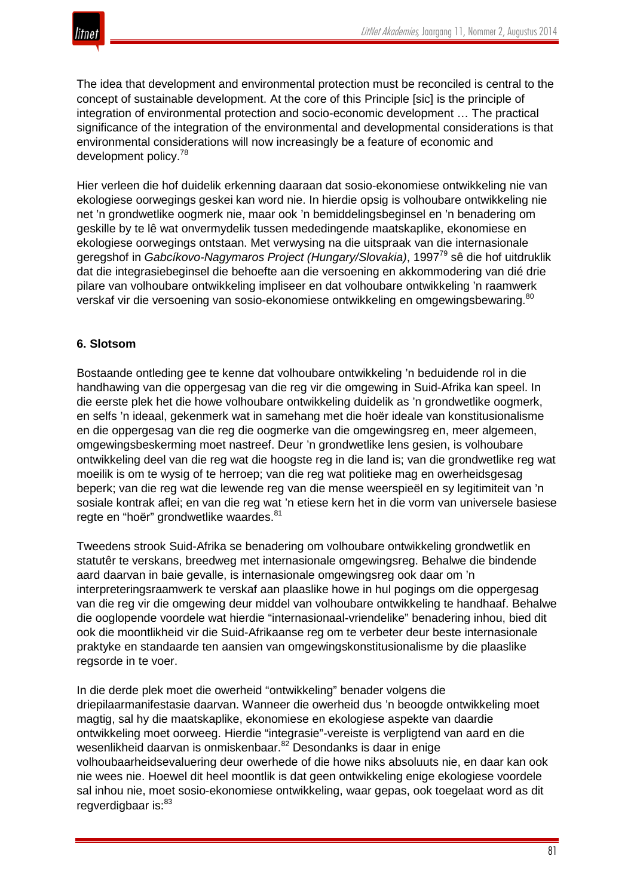

The idea that development and environmental protection must be reconciled is central to the concept of sustainable development. At the core of this Principle [sic] is the principle of integration of environmental protection and socio-economic development … The practical significance of the integration of the environmental and developmental considerations is that environmental considerations will now increasingly be a feature of economic and development policy.<sup>78</sup>

Hier verleen die hof duidelik erkenning daaraan dat sosio-ekonomiese ontwikkeling nie van ekologiese oorwegings geskei kan word nie. In hierdie opsig is volhoubare ontwikkeling nie net 'n grondwetlike oogmerk nie, maar ook 'n bemiddelingsbeginsel en 'n benadering om geskille by te lê wat onvermydelik tussen mededingende maatskaplike, ekonomiese en ekologiese oorwegings ontstaan. Met verwysing na die uitspraak van die internasionale geregshof in *Gabcíkovo-Nagymaros Project (Hungary/Slovakia)*, 199779 sê die hof uitdruklik dat die integrasiebeginsel die behoefte aan die versoening en akkommodering van dié drie pilare van volhoubare ontwikkeling impliseer en dat volhoubare ontwikkeling 'n raamwerk verskaf vir die versoening van sosio-ekonomiese ontwikkeling en omgewingsbewaring.<sup>80</sup>

#### **6. Slotsom**

Bostaande ontleding gee te kenne dat volhoubare ontwikkeling 'n beduidende rol in die handhawing van die oppergesag van die reg vir die omgewing in Suid-Afrika kan speel. In die eerste plek het die howe volhoubare ontwikkeling duidelik as 'n grondwetlike oogmerk, en selfs 'n ideaal, gekenmerk wat in samehang met die hoër ideale van konstitusionalisme en die oppergesag van die reg die oogmerke van die omgewingsreg en, meer algemeen, omgewingsbeskerming moet nastreef. Deur 'n grondwetlike lens gesien, is volhoubare ontwikkeling deel van die reg wat die hoogste reg in die land is; van die grondwetlike reg wat moeilik is om te wysig of te herroep; van die reg wat politieke mag en owerheidsgesag beperk; van die reg wat die lewende reg van die mense weerspieël en sy legitimiteit van 'n sosiale kontrak aflei; en van die reg wat 'n etiese kern het in die vorm van universele basiese regte en "hoër" grondwetlike waardes. 81

Tweedens strook Suid-Afrika se benadering om volhoubare ontwikkeling grondwetlik en statutêr te verskans, breedweg met internasionale omgewingsreg. Behalwe die bindende aard daarvan in baie gevalle, is internasionale omgewingsreg ook daar om 'n interpreteringsraamwerk te verskaf aan plaaslike howe in hul pogings om die oppergesag van die reg vir die omgewing deur middel van volhoubare ontwikkeling te handhaaf. Behalwe die ooglopende voordele wat hierdie "internasionaal-vriendelike" benadering inhou, bied dit ook die moontlikheid vir die Suid-Afrikaanse reg om te verbeter deur beste internasionale praktyke en standaarde ten aansien van omgewingskonstitusionalisme by die plaaslike regsorde in te voer.

In die derde plek moet die owerheid "ontwikkeling" benader volgens die driepilaarmanifestasie daarvan. Wanneer die owerheid dus 'n beoogde ontwikkeling moet magtig, sal hy die maatskaplike, ekonomiese en ekologiese aspekte van daardie ontwikkeling moet oorweeg. Hierdie "integrasie"-vereiste is verpligtend van aard en die wesenlikheid daarvan is onmiskenbaar.<sup>82</sup> Desondanks is daar in enige volhoubaarheidsevaluering deur owerhede of die howe niks absoluuts nie, en daar kan ook nie wees nie. Hoewel dit heel moontlik is dat geen ontwikkeling enige ekologiese voordele sal inhou nie, moet sosio-ekonomiese ontwikkeling, waar gepas, ook toegelaat word as dit regverdigbaar is:<sup>83</sup>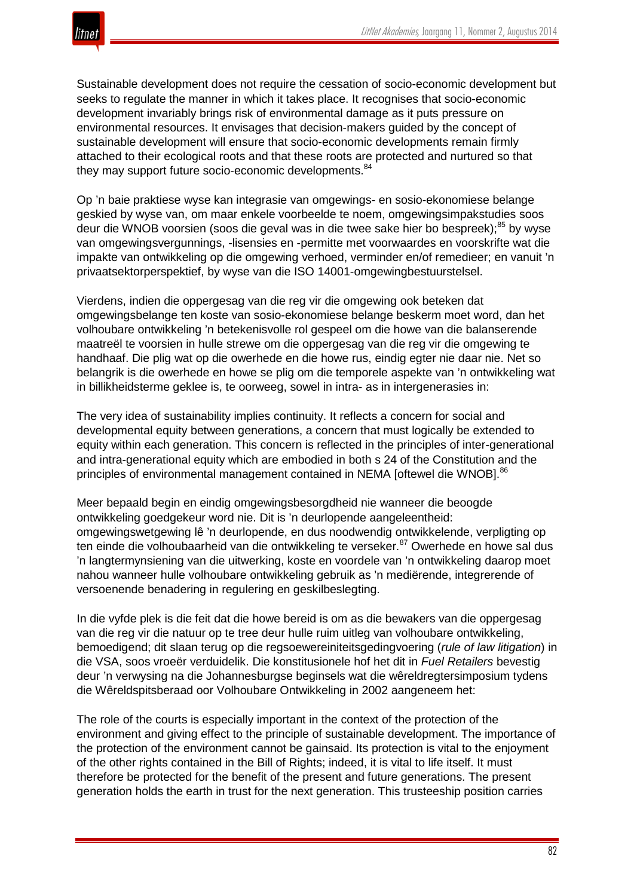

Sustainable development does not require the cessation of socio-economic development but seeks to regulate the manner in which it takes place. It recognises that socio-economic development invariably brings risk of environmental damage as it puts pressure on environmental resources. It envisages that decision-makers guided by the concept of sustainable development will ensure that socio-economic developments remain firmly attached to their ecological roots and that these roots are protected and nurtured so that they may support future socio-economic developments.<sup>84</sup>

Op 'n baie praktiese wyse kan integrasie van omgewings- en sosio-ekonomiese belange geskied by wyse van, om maar enkele voorbeelde te noem, omgewingsimpakstudies soos deur die WNOB voorsien (soos die geval was in die twee sake hier bo bespreek):<sup>85</sup> by wyse van omgewingsvergunnings, -lisensies en -permitte met voorwaardes en voorskrifte wat die impakte van ontwikkeling op die omgewing verhoed, verminder en/of remedieer; en vanuit 'n privaatsektorperspektief, by wyse van die ISO 14001-omgewingbestuurstelsel.

Vierdens, indien die oppergesag van die reg vir die omgewing ook beteken dat omgewingsbelange ten koste van sosio-ekonomiese belange beskerm moet word, dan het volhoubare ontwikkeling 'n betekenisvolle rol gespeel om die howe van die balanserende maatreël te voorsien in hulle strewe om die oppergesag van die reg vir die omgewing te handhaaf. Die plig wat op die owerhede en die howe rus, eindig egter nie daar nie. Net so belangrik is die owerhede en howe se plig om die temporele aspekte van 'n ontwikkeling wat in billikheidsterme geklee is, te oorweeg, sowel in intra- as in intergenerasies in:

The very idea of sustainability implies continuity. It reflects a concern for social and developmental equity between generations, a concern that must logically be extended to equity within each generation. This concern is reflected in the principles of inter-generational and intra-generational equity which are embodied in both s 24 of the Constitution and the principles of environmental management contained in NEMA [oftewel die WNOB].<sup>86</sup>

Meer bepaald begin en eindig omgewingsbesorgdheid nie wanneer die beoogde ontwikkeling goedgekeur word nie. Dit is 'n deurlopende aangeleentheid: omgewingswetgewing lê 'n deurlopende, en dus noodwendig ontwikkelende, verpligting op ten einde die volhoubaarheid van die ontwikkeling te verseker.<sup>87</sup> Owerhede en howe sal dus 'n langtermynsiening van die uitwerking, koste en voordele van 'n ontwikkeling daarop moet nahou wanneer hulle volhoubare ontwikkeling gebruik as 'n mediërende, integrerende of versoenende benadering in regulering en geskilbeslegting.

In die vyfde plek is die feit dat die howe bereid is om as die bewakers van die oppergesag van die reg vir die natuur op te tree deur hulle ruim uitleg van volhoubare ontwikkeling, bemoedigend; dit slaan terug op die regsoewereiniteitsgedingvoering (*rule of law litigation*) in die VSA, soos vroeër verduidelik. Die konstitusionele hof het dit in *Fuel Retailers* bevestig deur 'n verwysing na die Johannesburgse beginsels wat die wêreldregtersimposium tydens die Wêreldspitsberaad oor Volhoubare Ontwikkeling in 2002 aangeneem het:

The role of the courts is especially important in the context of the protection of the environment and giving effect to the principle of sustainable development. The importance of the protection of the environment cannot be gainsaid. Its protection is vital to the enjoyment of the other rights contained in the Bill of Rights; indeed, it is vital to life itself. It must therefore be protected for the benefit of the present and future generations. The present generation holds the earth in trust for the next generation. This trusteeship position carries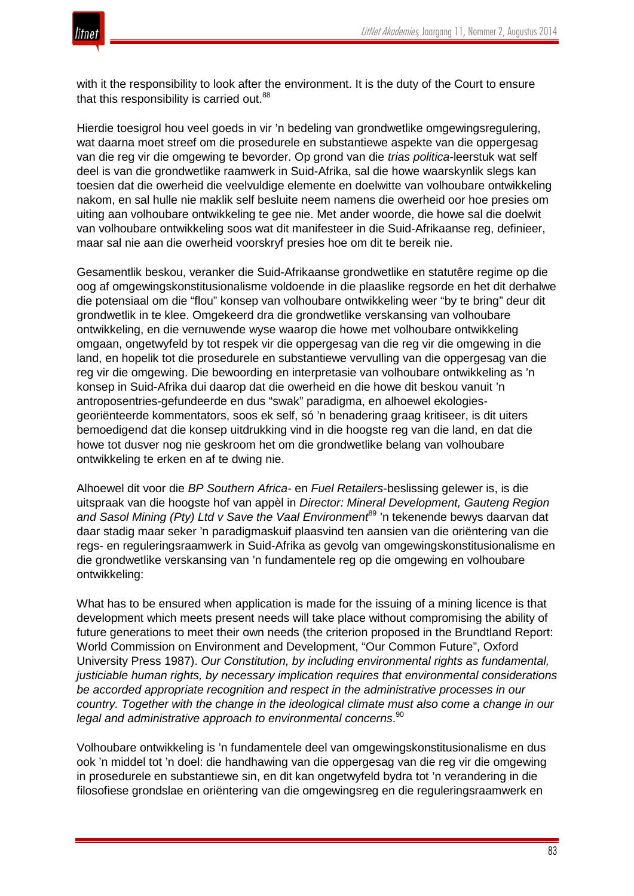

with it the responsibility to look after the environment. It is the duty of the Court to ensure that this responsibility is carried out.<sup>88</sup>

Hierdie toesigrol hou veel goeds in vir 'n bedeling van grondwetlike omgewingsregulering, wat daarna moet streef om die prosedurele en substantiewe aspekte van die oppergesag van die reg vir die omgewing te bevorder. Op grond van die *trias politica*-leerstuk wat self deel is van die grondwetlike raamwerk in Suid-Afrika, sal die howe waarskynlik slegs kan toesien dat die owerheid die veelvuldige elemente en doelwitte van volhoubare ontwikkeling nakom, en sal hulle nie maklik self besluite neem namens die owerheid oor hoe presies om uiting aan volhoubare ontwikkeling te gee nie. Met ander woorde, die howe sal die doelwit van volhoubare ontwikkeling soos wat dit manifesteer in die Suid-Afrikaanse reg, definieer, maar sal nie aan die owerheid voorskryf presies hoe om dit te bereik nie.

Gesamentlik beskou, veranker die Suid-Afrikaanse grondwetlike en statutêre regime op die oog af omgewingskonstitusionalisme voldoende in die plaaslike regsorde en het dit derhalwe die potensiaal om die "flou" konsep van volhoubare ontwikkeling weer "by te bring" deur dit grondwetlik in te klee. Omgekeerd dra die grondwetlike verskansing van volhoubare ontwikkeling, en die vernuwende wyse waarop die howe met volhoubare ontwikkeling omgaan, ongetwyfeld by tot respek vir die oppergesag van die reg vir die omgewing in die land, en hopelik tot die prosedurele en substantiewe vervulling van die oppergesag van die reg vir die omgewing. Die bewoording en interpretasie van volhoubare ontwikkeling as 'n konsep in Suid-Afrika dui daarop dat die owerheid en die howe dit beskou vanuit 'n antroposentries-gefundeerde en dus "swak" paradigma, en alhoewel ekologiesgeoriënteerde kommentators, soos ek self, só 'n benadering graag kritiseer, is dit uiters bemoedigend dat die konsep uitdrukking vind in die hoogste reg van die land, en dat die howe tot dusver nog nie geskroom het om die grondwetlike belang van volhoubare ontwikkeling te erken en af te dwing nie.

Alhoewel dit voor die *BP Southern Africa-* en *Fuel Retailers*-beslissing gelewer is, is die uitspraak van die hoogste hof van appèl in *Director: Mineral Development, Gauteng Region and Sasol Mining (Pty) Ltd v Save the Vaal Environment*<sup>89</sup> 'n tekenende bewys daarvan dat daar stadig maar seker 'n paradigmaskuif plaasvind ten aansien van die oriëntering van die regs- en reguleringsraamwerk in Suid-Afrika as gevolg van omgewingskonstitusionalisme en die grondwetlike verskansing van 'n fundamentele reg op die omgewing en volhoubare ontwikkeling:

What has to be ensured when application is made for the issuing of a mining licence is that development which meets present needs will take place without compromising the ability of future generations to meet their own needs (the criterion proposed in the Brundtland Report: World Commission on Environment and Development, "Our Common Future", Oxford University Press 1987). *Our Constitution, by including environmental rights as fundamental, justiciable human rights, by necessary implication requires that environmental considerations be accorded appropriate recognition and respect in the administrative processes in our country. Together with the change in the ideological climate must also come a change in our legal and administrative approach to environmental concerns*. 90

Volhoubare ontwikkeling is 'n fundamentele deel van omgewingskonstitusionalisme en dus ook 'n middel tot 'n doel: die handhawing van die oppergesag van die reg vir die omgewing in prosedurele en substantiewe sin, en dit kan ongetwyfeld bydra tot 'n verandering in die filosofiese grondslae en oriëntering van die omgewingsreg en die reguleringsraamwerk en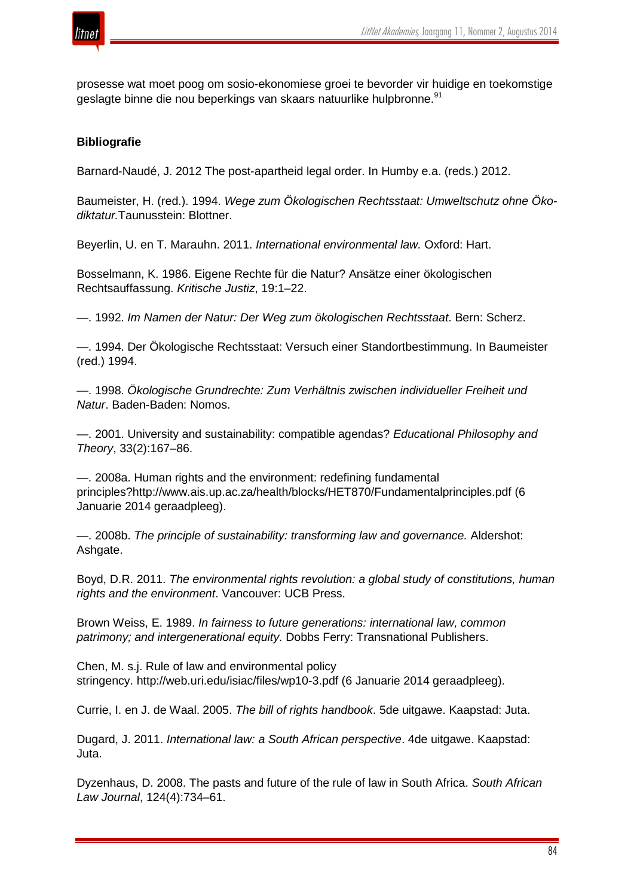

prosesse wat moet poog om sosio-ekonomiese groei te bevorder vir huidige en toekomstige geslagte binne die nou beperkings van skaars natuurlike hulpbronne.<sup>91</sup>

# **Bibliografie**

Barnard-Naudé, J. 2012 The post-apartheid legal order. In Humby e.a. (reds.) 2012.

Baumeister, H. (red.). 1994. *Wege zum Ökologischen Rechtsstaat: Umweltschutz ohne Ökodiktatur.*Taunusstein: Blottner.

Beyerlin, U. en T. Marauhn. 2011. *International environmental law.* Oxford: Hart.

Bosselmann, K. 1986. Eigene Rechte für die Natur? Ansätze einer ökologischen Rechtsauffassung. *Kritische Justiz*, 19:1–22.

—. 1992. *Im Namen der Natur: Der Weg zum ökologischen Rechtsstaat*. Bern: Scherz.

—. 1994. Der Ökologische Rechtsstaat: Versuch einer Standortbestimmung. In Baumeister (red.) 1994.

—. 1998. *Ökologische Grundrechte: Zum Verhältnis zwischen individueller Freiheit und Natur*. Baden-Baden: Nomos.

—. 2001. University and sustainability: compatible agendas? *Educational Philosophy and Theory*, 33(2):167–86.

—. 2008a. Human rights and the environment: redefining fundamental principles?http://www.ais.up.ac.za/health/blocks/HET870/Fundamentalprinciples.pdf (6 Januarie 2014 geraadpleeg).

—. 2008b. *The principle of sustainability: transforming law and governance.* Aldershot: Ashgate.

Boyd, D.R. 2011. *The environmental rights revolution: a global study of constitutions, human rights and the environment*. Vancouver: UCB Press.

Brown Weiss, E. 1989. *In fairness to future generations: international law, common patrimony; and intergenerational equity*. Dobbs Ferry: Transnational Publishers.

Chen, M. s.j. Rule of law and environmental policy stringency. http://web.uri.edu/isiac/files/wp10-3.pdf (6 Januarie 2014 geraadpleeg).

Currie, I. en J. de Waal. 2005. *The bill of rights handbook*. 5de uitgawe. Kaapstad: Juta.

Dugard, J. 2011. *International law: a South African perspective*. 4de uitgawe. Kaapstad: Juta.

Dyzenhaus, D. 2008. The pasts and future of the rule of law in South Africa. *South African Law Journal*, 124(4):734–61.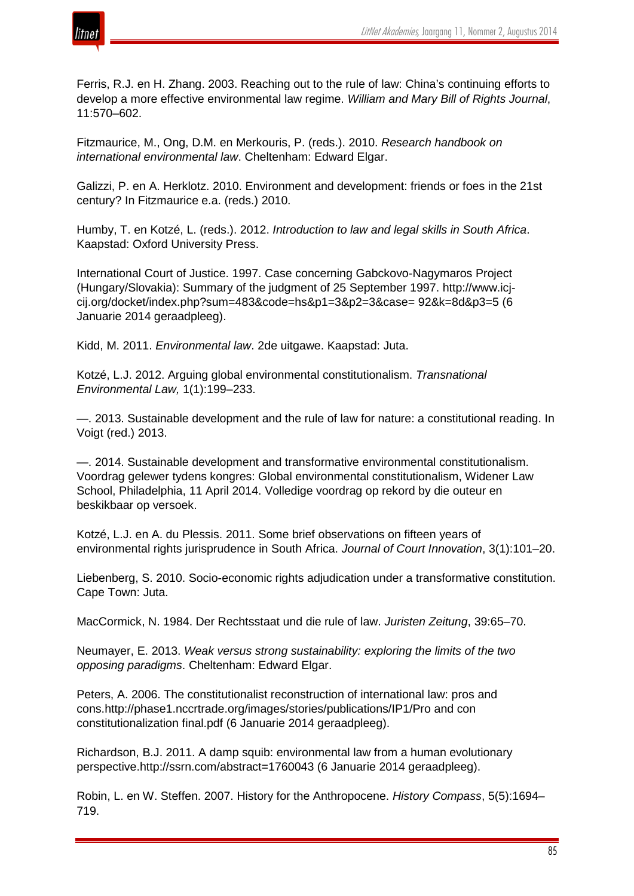

Ferris, R.J. en H. Zhang. 2003. Reaching out to the rule of law: China's continuing efforts to develop a more effective environmental law regime. *William and Mary Bill of Rights Journal*, 11:570–602.

Fitzmaurice, M., Ong, D.M. en Merkouris, P. (reds.). 2010. *Research handbook on international environmental law*. Cheltenham: Edward Elgar.

Galizzi, P. en A. Herklotz. 2010. Environment and development: friends or foes in the 21st century? In Fitzmaurice e.a. (reds.) 2010.

Humby, T. en Kotzé, L. (reds.). 2012. *Introduction to law and legal skills in South Africa*. Kaapstad: Oxford University Press.

International Court of Justice. 1997. Case concerning Gabckovo-Nagymaros Project (Hungary/Slovakia): Summary of the judgment of 25 September 1997. http://www.icjcij.org/docket/index.php?sum=483&code=hs&p1=3&p2=3&case= 92&k=8d&p3=5 (6 Januarie 2014 geraadpleeg).

Kidd, M. 2011. *Environmental law*. 2de uitgawe. Kaapstad: Juta.

Kotzé, L.J. 2012. Arguing global environmental constitutionalism. *Transnational Environmental Law,* 1(1):199–233.

—. 2013. Sustainable development and the rule of law for nature: a constitutional reading. In Voigt (red.) 2013.

—. 2014. Sustainable development and transformative environmental constitutionalism. Voordrag gelewer tydens kongres: Global environmental constitutionalism, Widener Law School, Philadelphia, 11 April 2014. Volledige voordrag op rekord by die outeur en beskikbaar op versoek.

Kotzé, L.J. en A. du Plessis. 2011. Some brief observations on fifteen years of environmental rights jurisprudence in South Africa. *Journal of Court Innovation*, 3(1):101–20.

Liebenberg, S. 2010. Socio-economic rights adjudication under a transformative constitution. Cape Town: Juta.

MacCormick, N. 1984. Der Rechtsstaat und die rule of law. *Juristen Zeitung*, 39:65–70.

Neumayer, E. 2013. *Weak versus strong sustainability: exploring the limits of the two opposing paradigms*. Cheltenham: Edward Elgar.

Peters, A. 2006. The constitutionalist reconstruction of international law: pros and cons.http://phase1.nccrtrade.org/images/stories/publications/IP1/Pro and con constitutionalization final.pdf (6 Januarie 2014 geraadpleeg).

Richardson, B.J. 2011. A damp squib: environmental law from a human evolutionary perspective.http://ssrn.com/abstract=1760043 (6 Januarie 2014 geraadpleeg).

Robin, L. en W. Steffen. 2007. History for the Anthropocene. *History Compass*, 5(5):1694– 719.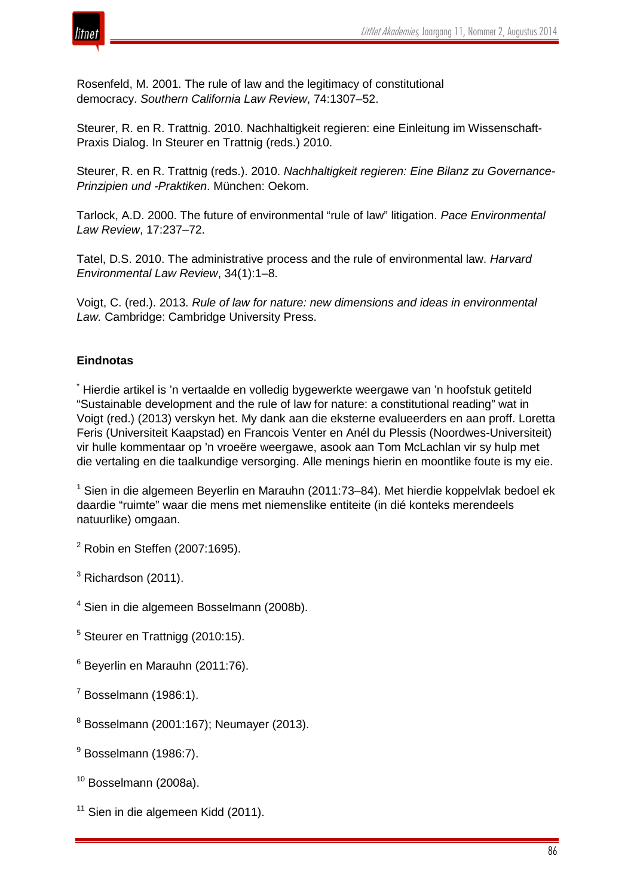

Rosenfeld, M. 2001. The rule of law and the legitimacy of constitutional democracy. *Southern California Law Review*, 74:1307–52.

Steurer, R. en R. Trattnig. 2010. Nachhaltigkeit regieren: eine Einleitung im Wissenschaft-Praxis Dialog. In Steurer en Trattnig (reds.) 2010.

Steurer, R. en R. Trattnig (reds.). 2010. *Nachhaltigkeit regieren: Eine Bilanz zu Governance-Prinzipien und -Praktiken*. München: Oekom.

Tarlock, A.D. 2000. The future of environmental "rule of law" litigation. *Pace Environmental Law Review*, 17:237–72.

Tatel, D.S. 2010. The administrative process and the rule of environmental law. *Harvard Environmental Law Review*, 34(1):1–8.

Voigt, C. (red.). 2013. *Rule of law for nature: new dimensions and ideas in environmental Law.* Cambridge: Cambridge University Press.

# **Eindnotas**

\* Hierdie artikel is 'n vertaalde en volledig bygewerkte weergawe van 'n hoofstuk getiteld "Sustainable development and the rule of law for nature: a constitutional reading" wat in Voigt (red.) (2013) verskyn het. My dank aan die eksterne evalueerders en aan proff. Loretta Feris (Universiteit Kaapstad) en Francois Venter en Anél du Plessis (Noordwes-Universiteit) vir hulle kommentaar op 'n vroeëre weergawe, asook aan Tom McLachlan vir sy hulp met die vertaling en die taalkundige versorging. Alle menings hierin en moontlike foute is my eie.

<sup>1</sup> Sien in die algemeen Beyerlin en Marauhn (2011:73–84). Met hierdie koppelvlak bedoel ek daardie "ruimte" waar die mens met niemenslike entiteite (in dié konteks merendeels natuurlike) omgaan.

<sup>2</sup> Robin en Steffen (2007:1695).

<sup>3</sup> Richardson (2011).

- <sup>4</sup> Sien in die algemeen Bosselmann (2008b).
- <sup>5</sup> Steurer en Trattnigg (2010:15).
- <sup>6</sup> Beyerlin en Marauhn (2011:76).
- $<sup>7</sup>$  Bosselmann (1986:1).</sup>
- $8$  Bosselmann (2001:167); Neumayer (2013).
- $9$  Bosselmann (1986:7).
- $10$  Bosselmann (2008a).
- $11$  Sien in die algemeen Kidd (2011).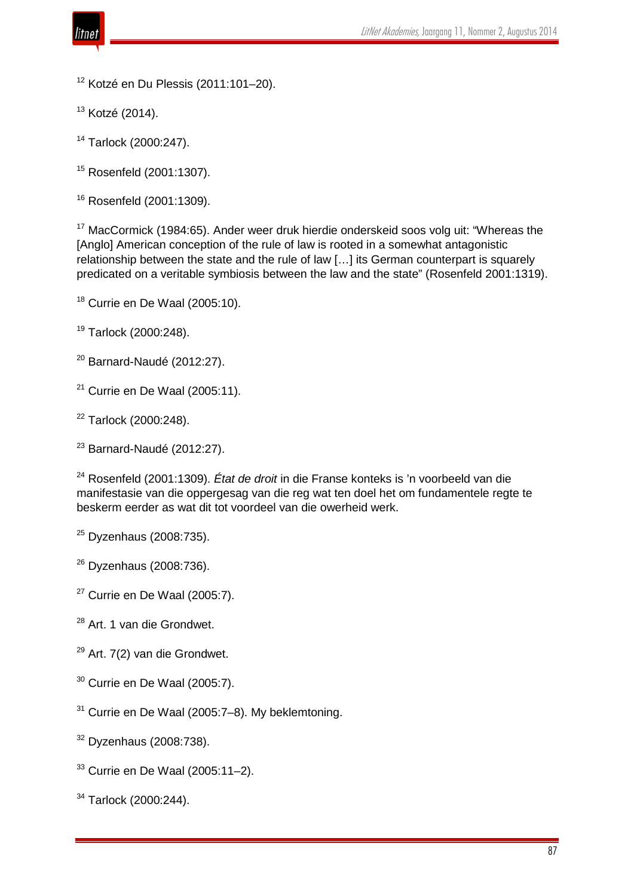

Kotzé en Du Plessis (2011:101-20).

Kotzé (2014).

Tarlock (2000:247).

Rosenfeld (2001:1307).

Rosenfeld (2001:1309).

<sup>17</sup> MacCormick (1984:65). Ander weer druk hierdie onderskeid soos volg uit: "Whereas the [Anglo] American conception of the rule of law is rooted in a somewhat antagonistic relationship between the state and the rule of law […] its German counterpart is squarely predicated on a veritable symbiosis between the law and the state" (Rosenfeld 2001:1319).

Currie en De Waal (2005:10).

Tarlock (2000:248).

Barnard-Naudé (2012:27).

Currie en De Waal (2005:11).

<sup>22</sup> Tarlock (2000:248).

Barnard-Naudé (2012:27).

 Rosenfeld (2001:1309). *État de droit* in die Franse konteks is 'n voorbeeld van die manifestasie van die oppergesag van die reg wat ten doel het om fundamentele regte te beskerm eerder as wat dit tot voordeel van die owerheid werk.

Dyzenhaus (2008:735).

Dyzenhaus (2008:736).

Currie en De Waal (2005:7).

<sup>28</sup> Art. 1 van die Grondwet.

Art. 7(2) van die Grondwet.

Currie en De Waal (2005:7).

Currie en De Waal (2005:7–8). My beklemtoning.

Dyzenhaus (2008:738).

Currie en De Waal (2005:11–2).

Tarlock (2000:244).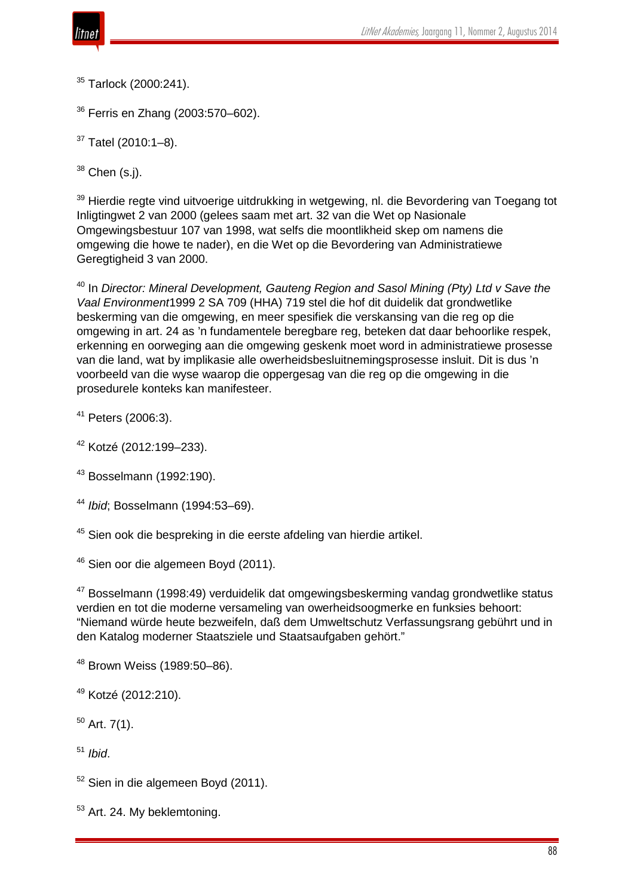

<sup>35</sup> Tarlock (2000:241).

<sup>36</sup> Ferris en Zhang (2003:570–602).

 $37$  Tatel (2010:1-8).

 $38$  Chen (s.j).

<sup>39</sup> Hierdie regte vind uitvoerige uitdrukking in wetgewing, nl. die Bevordering van Toegang tot Inligtingwet 2 van 2000 (gelees saam met art. 32 van die Wet op Nasionale Omgewingsbestuur 107 van 1998, wat selfs die moontlikheid skep om namens die omgewing die howe te nader), en die Wet op die Bevordering van Administratiewe Geregtigheid 3 van 2000.

<sup>40</sup> In *Director: Mineral Development, Gauteng Region and Sasol Mining (Pty) Ltd v Save the Vaal Environment*1999 2 SA 709 (HHA) 719 stel die hof dit duidelik dat grondwetlike beskerming van die omgewing, en meer spesifiek die verskansing van die reg op die omgewing in art. 24 as 'n fundamentele beregbare reg, beteken dat daar behoorlike respek, erkenning en oorweging aan die omgewing geskenk moet word in administratiewe prosesse van die land, wat by implikasie alle owerheidsbesluitnemingsprosesse insluit. Dit is dus 'n voorbeeld van die wyse waarop die oppergesag van die reg op die omgewing in die prosedurele konteks kan manifesteer.

<sup>41</sup> Peters (2006:3).

<sup>42</sup> Kotzé (2012*:*199–233).

<sup>43</sup> Bosselmann (1992:190).

<sup>44</sup> *Ibid*; Bosselmann (1994:53–69).

<sup>45</sup> Sien ook die bespreking in die eerste afdeling van hierdie artikel.

<sup>46</sup> Sien oor die algemeen Boyd (2011).

<sup>47</sup> Bosselmann (1998:49) verduidelik dat omgewingsbeskerming vandag grondwetlike status verdien en tot die moderne versameling van owerheidsoogmerke en funksies behoort: "Niemand würde heute bezweifeln, daß dem Umweltschutz Verfassungsrang gebührt und in den Katalog moderner Staatsziele und Staatsaufgaben gehört."

<sup>48</sup> Brown Weiss (1989:50–86).

<sup>49</sup> Kotzé (2012:210).

 $50$  Art. 7(1).

<sup>51</sup> *Ibid*.

 $52$  Sien in die algemeen Boyd (2011).

<sup>53</sup> Art. 24. My beklemtoning.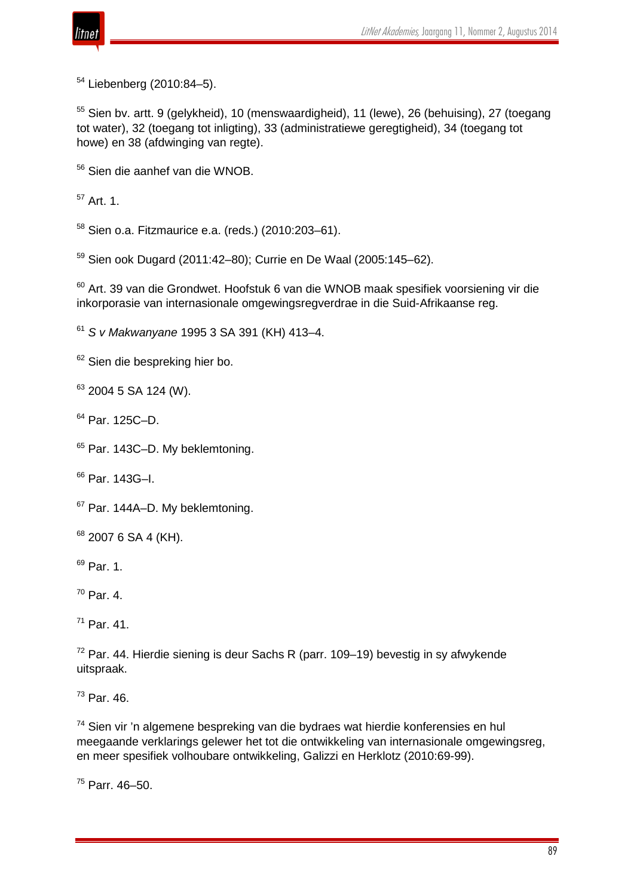

<sup>54</sup> Liebenberg (2010:84–5).

<sup>55</sup> Sien by. artt. 9 (gelykheid), 10 (menswaardigheid), 11 (lewe), 26 (behuising), 27 (toegang tot water), 32 (toegang tot inligting), 33 (administratiewe geregtigheid), 34 (toegang tot howe) en 38 (afdwinging van regte).

<sup>56</sup> Sien die aanhef van die WNOB.

 $57$  Art. 1.

<sup>58</sup> Sien o.a. Fitzmaurice e.a. (reds.) (2010:203–61).

<sup>59</sup> Sien ook Dugard (2011:42–80); Currie en De Waal (2005:145–62).

<sup>60</sup> Art. 39 van die Grondwet. Hoofstuk 6 van die WNOB maak spesifiek voorsiening vir die inkorporasie van internasionale omgewingsregverdrae in die Suid-Afrikaanse reg.

<sup>61</sup> *S v Makwanyane* 1995 3 SA 391 (KH) 413–4.

<sup>62</sup> Sien die bespreking hier bo.

 $63$  2004 5 SA 124 (W).

<sup>64</sup> Par. 125C–D.

<sup>65</sup> Par. 143C–D. My beklemtoning.

<sup>66</sup> Par. 143G–I.

<sup>67</sup> Par. 144A–D. My beklemtoning.

 $68$  2007 6 SA 4 (KH).

<sup>69</sup> Par. 1.

 $70$  Par. 4.

 $71$  Par. 41.

 $72$  Par. 44. Hierdie siening is deur Sachs R (parr. 109–19) bevestig in sy afwykende uitspraak.

<sup>73</sup> Par. 46.

<sup>74</sup> Sien vir 'n algemene bespreking van die bydraes wat hierdie konferensies en hul meegaande verklarings gelewer het tot die ontwikkeling van internasionale omgewingsreg, en meer spesifiek volhoubare ontwikkeling, Galizzi en Herklotz (2010:69-99).

<sup>75</sup> Parr. 46–50.